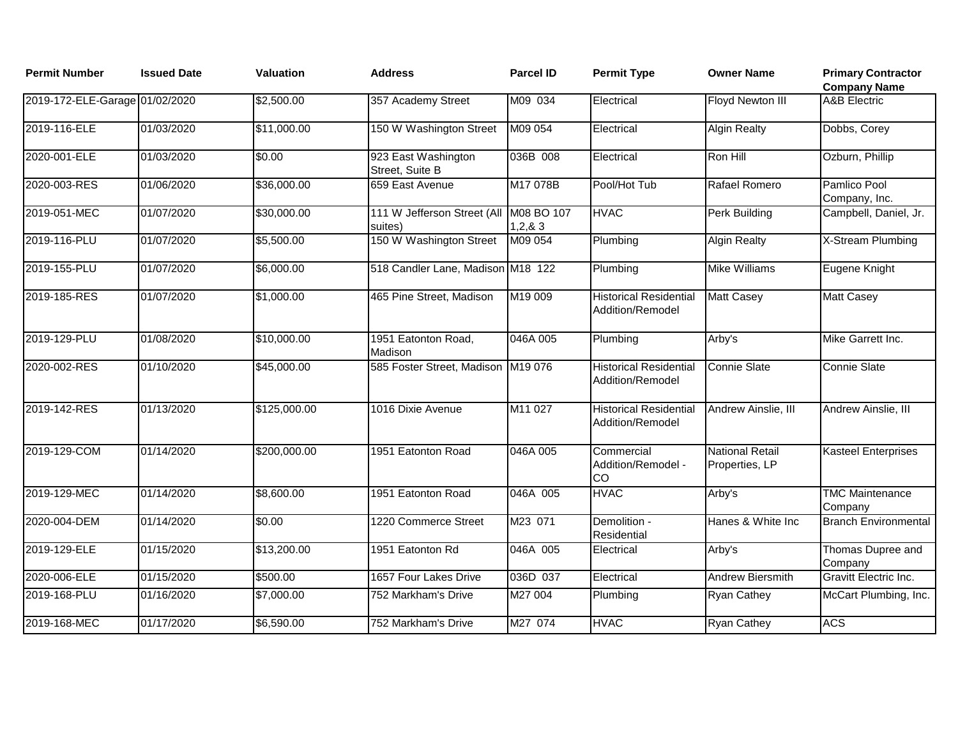| <b>Permit Number</b>           | <b>Issued Date</b> | <b>Valuation</b> | <b>Address</b>                                    | <b>Parcel ID</b> | <b>Permit Type</b>                                | <b>Owner Name</b>                        | <b>Primary Contractor</b><br><b>Company Name</b> |
|--------------------------------|--------------------|------------------|---------------------------------------------------|------------------|---------------------------------------------------|------------------------------------------|--------------------------------------------------|
| 2019-172-ELE-Garage 01/02/2020 |                    | \$2,500.00       | 357 Academy Street                                | M09 034          | Electrical                                        | Floyd Newton III                         | <b>A&amp;B</b> Electric                          |
| 2019-116-ELE                   | 01/03/2020         | \$11,000.00      | 150 W Washington Street                           | M09 054          | Electrical                                        | <b>Algin Realty</b>                      | Dobbs, Corey                                     |
| 2020-001-ELE                   | 01/03/2020         | \$0.00           | 923 East Washington<br>Street, Suite B            | 036B 008         | Electrical                                        | Ron Hill                                 | Ozburn, Phillip                                  |
| 2020-003-RES                   | 01/06/2020         | \$36,000.00      | 659 East Avenue                                   | M17 078B         | Pool/Hot Tub                                      | Rafael Romero                            | Pamlico Pool<br>Company, Inc.                    |
| 2019-051-MEC                   | 01/07/2020         | \$30,000.00      | 111 W Jefferson Street (All M08 BO 107<br>suites) | 1,2,8,3          | <b>HVAC</b>                                       | Perk Building                            | Campbell, Daniel, Jr.                            |
| 2019-116-PLU                   | 01/07/2020         | \$5,500.00       | 150 W Washington Street                           | M09 054          | Plumbing                                          | <b>Algin Realty</b>                      | X-Stream Plumbing                                |
| 2019-155-PLU                   | 01/07/2020         | \$6,000.00       | 518 Candler Lane, Madison M18 122                 |                  | Plumbing                                          | <b>Mike Williams</b>                     | Eugene Knight                                    |
| 2019-185-RES                   | 01/07/2020         | \$1,000.00       | 465 Pine Street, Madison                          | M19 009          | <b>Historical Residential</b><br>Addition/Remodel | <b>Matt Casey</b>                        | <b>Matt Casey</b>                                |
| 2019-129-PLU                   | 01/08/2020         | \$10,000.00      | 1951 Eatonton Road,<br>Madison                    | 046A 005         | Plumbing                                          | Arby's                                   | Mike Garrett Inc.                                |
| 2020-002-RES                   | 01/10/2020         | \$45,000.00      | 585 Foster Street, Madison M19 076                |                  | <b>Historical Residential</b><br>Addition/Remodel | <b>Connie Slate</b>                      | <b>Connie Slate</b>                              |
| 2019-142-RES                   | 01/13/2020         | \$125,000.00     | 1016 Dixie Avenue                                 | M11 027          | <b>Historical Residential</b><br>Addition/Remodel | Andrew Ainslie, III                      | Andrew Ainslie, III                              |
| 2019-129-COM                   | 01/14/2020         | \$200,000.00     | 1951 Eatonton Road                                | 046A 005         | Commercial<br>Addition/Remodel -<br>CO            | <b>National Retail</b><br>Properties, LP | <b>Kasteel Enterprises</b>                       |
| 2019-129-MEC                   | 01/14/2020         | \$8,600.00       | 1951 Eatonton Road                                | 046A 005         | <b>HVAC</b>                                       | Arby's                                   | <b>TMC Maintenance</b><br>Company                |
| 2020-004-DEM                   | 01/14/2020         | \$0.00           | 1220 Commerce Street                              | M23 071          | Demolition -<br>Residential                       | Hanes & White Inc                        | <b>Branch Environmental</b>                      |
| 2019-129-ELE                   | 01/15/2020         | \$13,200.00      | 1951 Eatonton Rd                                  | 046A 005         | Electrical                                        | Arby's                                   | Thomas Dupree and<br>Company                     |
| 2020-006-ELE                   | 01/15/2020         | \$500.00         | 1657 Four Lakes Drive                             | 036D 037         | Electrical                                        | Andrew Biersmith                         | Gravitt Electric Inc.                            |
| 2019-168-PLU                   | 01/16/2020         | \$7,000.00       | 752 Markham's Drive                               | M27 004          | Plumbing                                          | <b>Ryan Cathey</b>                       | McCart Plumbing, Inc.                            |
| 2019-168-MEC                   | 01/17/2020         | \$6,590.00       | 752 Markham's Drive                               | M27 074          | <b>HVAC</b>                                       | <b>Ryan Cathey</b>                       | <b>ACS</b>                                       |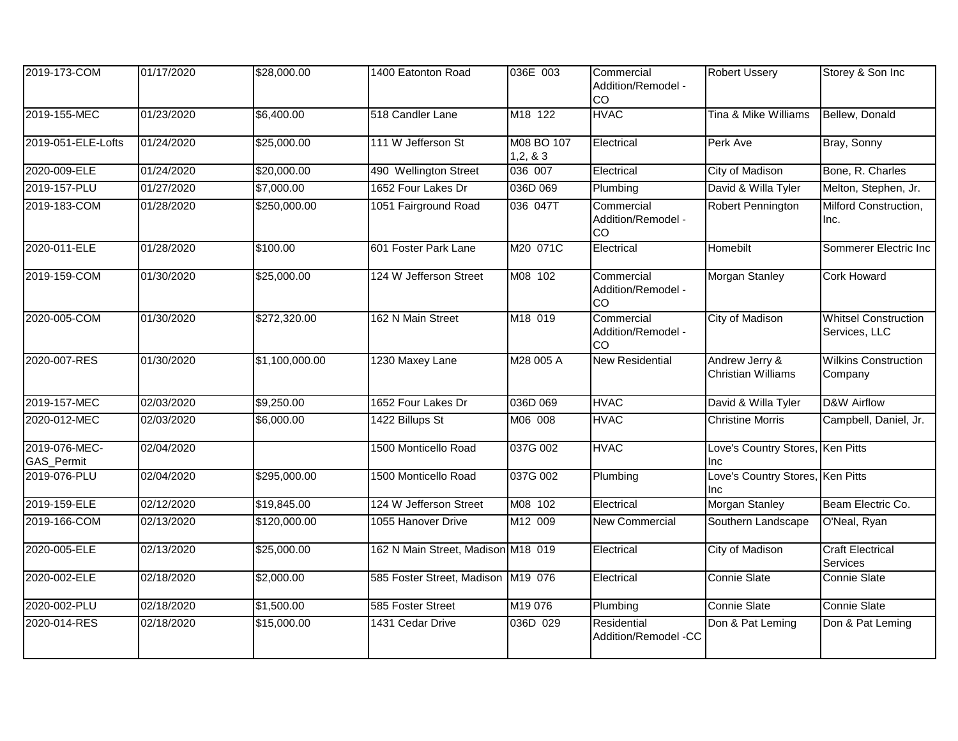| 2019-173-COM                | 01/17/2020 | \$28,000.00    | 1400 Eatonton Road                 | 036E 003             | Commercial<br>Addition/Remodel -<br>CO | <b>Robert Ussery</b>                        | Storey & Son Inc                             |
|-----------------------------|------------|----------------|------------------------------------|----------------------|----------------------------------------|---------------------------------------------|----------------------------------------------|
| 2019-155-MEC                | 01/23/2020 | \$6,400.00     | 518 Candler Lane                   | M18 122              | <b>HVAC</b>                            | Tina & Mike Williams                        | Bellew, Donald                               |
| 2019-051-ELE-Lofts          | 01/24/2020 | \$25,000.00    | 111 W Jefferson St                 | M08 BO 107<br>1,2,83 | Electrical                             | Perk Ave                                    | Bray, Sonny                                  |
| 2020-009-ELE                | 01/24/2020 | \$20,000.00    | 490 Wellington Street              | 036 007              | Electrical                             | City of Madison                             | Bone, R. Charles                             |
| 2019-157-PLU                | 01/27/2020 | \$7,000.00     | 1652 Four Lakes Dr                 | 036D 069             | Plumbing                               | David & Willa Tyler                         | Melton, Stephen, Jr.                         |
| 2019-183-COM                | 01/28/2020 | \$250,000.00   | 1051 Fairground Road               | 036 047T             | Commercial<br>Addition/Remodel -<br>CO | Robert Pennington                           | Milford Construction,<br>Inc.                |
| 2020-011-ELE                | 01/28/2020 | \$100.00       | 601 Foster Park Lane               | M20 071C             | Electrical                             | Homebilt                                    | Sommerer Electric Inc                        |
| 2019-159-COM                | 01/30/2020 | \$25,000.00    | 124 W Jefferson Street             | M08 102              | Commercial<br>Addition/Remodel -<br>CO | <b>Morgan Stanley</b>                       | <b>Cork Howard</b>                           |
| 2020-005-COM                | 01/30/2020 | \$272,320.00   | 162 N Main Street                  | M18 019              | Commercial<br>Addition/Remodel -<br>CO | City of Madison                             | <b>Whitsel Construction</b><br>Services, LLC |
| 2020-007-RES                | 01/30/2020 | \$1,100,000.00 | 1230 Maxey Lane                    | M28 005 A            | <b>New Residential</b>                 | Andrew Jerry &<br><b>Christian Williams</b> | <b>Wilkins Construction</b><br>Company       |
| 2019-157-MEC                | 02/03/2020 | \$9,250.00     | 1652 Four Lakes Dr                 | 036D 069             | <b>HVAC</b>                            | David & Willa Tyler                         | D&W Airflow                                  |
| 2020-012-MEC                | 02/03/2020 | \$6,000.00     | 1422 Billups St                    | M06 008              | <b>HVAC</b>                            | <b>Christine Morris</b>                     | Campbell, Daniel, Jr.                        |
| 2019-076-MEC-<br>GAS_Permit | 02/04/2020 |                | 1500 Monticello Road               | 037G 002             | <b>HVAC</b>                            | Love's Country Stores,<br>Inc               | Ken Pitts                                    |
| 2019-076-PLU                | 02/04/2020 | \$295,000.00   | 1500 Monticello Road               | 037G 002             | Plumbing                               | Love's Country Stores, Ken Pitts<br>Inc     |                                              |
| 2019-159-ELE                | 02/12/2020 | \$19,845.00    | 124 W Jefferson Street             | M08 102              | Electrical                             | Morgan Stanley                              | Beam Electric Co.                            |
| 2019-166-COM                | 02/13/2020 | \$120,000.00   | 1055 Hanover Drive                 | M12 009              | <b>New Commercial</b>                  | Southern Landscape                          | O'Neal, Ryan                                 |
| 2020-005-ELE                | 02/13/2020 | \$25,000.00    | 162 N Main Street, Madison M18 019 |                      | Electrical                             | City of Madison                             | <b>Craft Electrical</b><br>Services          |
| 2020-002-ELE                | 02/18/2020 | \$2,000.00     | 585 Foster Street, Madison M19 076 |                      | Electrical                             | Connie Slate                                | Connie Slate                                 |
| 2020-002-PLU                | 02/18/2020 | \$1,500.00     | 585 Foster Street                  | M19 076              | Plumbing                               | Connie Slate                                | Connie Slate                                 |
| 2020-014-RES                | 02/18/2020 | \$15,000.00    | 1431 Cedar Drive                   | 036D 029             | Residential<br>Addition/Remodel -CC    | Don & Pat Leming                            | Don & Pat Leming                             |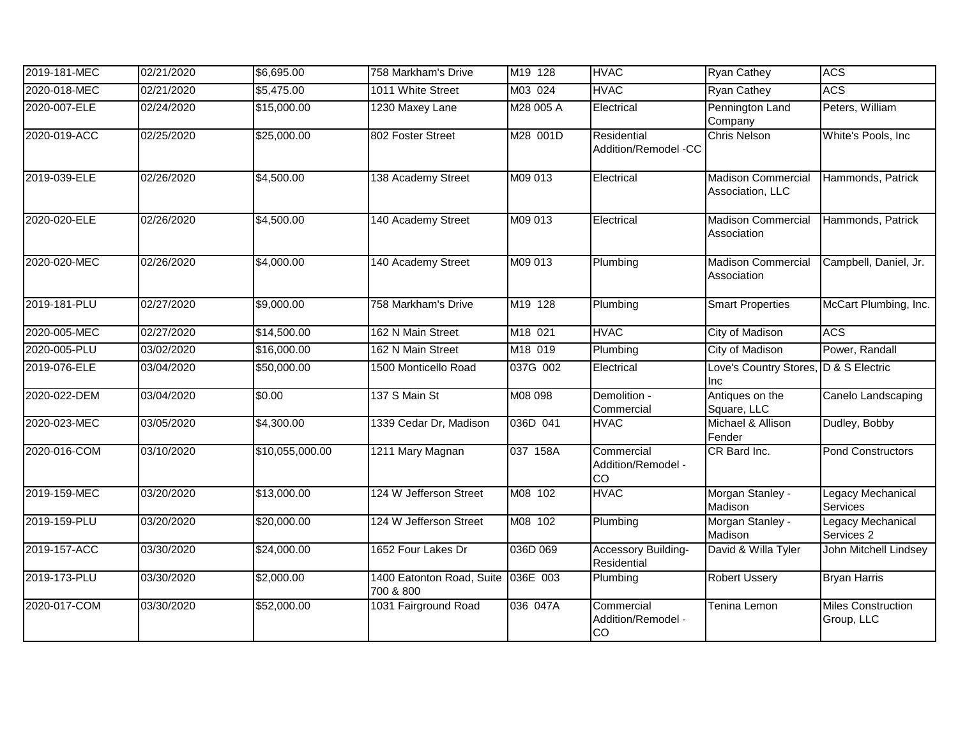| 2019-181-MEC | 02/21/2020 | \$6,695.00      | 758 Markham's Drive                             | M19 128   | <b>HVAC</b>                            | Ryan Cathey                                   | <b>ACS</b>                              |
|--------------|------------|-----------------|-------------------------------------------------|-----------|----------------------------------------|-----------------------------------------------|-----------------------------------------|
| 2020-018-MEC | 02/21/2020 | \$5,475.00      | 1011 White Street                               | M03 024   | <b>HVAC</b>                            | <b>Ryan Cathey</b>                            | <b>ACS</b>                              |
| 2020-007-ELE | 02/24/2020 | \$15,000.00     | 1230 Maxey Lane                                 | M28 005 A | Electrical                             | Pennington Land<br>Company                    | Peters, William                         |
| 2020-019-ACC | 02/25/2020 | \$25,000.00     | 802 Foster Street                               | M28 001D  | Residential<br>Addition/Remodel -CC    | <b>Chris Nelson</b>                           | White's Pools, Inc                      |
| 2019-039-ELE | 02/26/2020 | \$4,500.00      | 138 Academy Street                              | M09 013   | Electrical                             | <b>Madison Commercial</b><br>Association, LLC | Hammonds, Patrick                       |
| 2020-020-ELE | 02/26/2020 | \$4,500.00      | 140 Academy Street                              | M09 013   | Electrical                             | <b>Madison Commercial</b><br>Association      | Hammonds, Patrick                       |
| 2020-020-MEC | 02/26/2020 | \$4,000.00      | 140 Academy Street                              | M09 013   | Plumbing                               | <b>Madison Commercial</b><br>Association      | Campbell, Daniel, Jr.                   |
| 2019-181-PLU | 02/27/2020 | \$9,000.00      | 758 Markham's Drive                             | M19 128   | Plumbing                               | <b>Smart Properties</b>                       | McCart Plumbing, Inc.                   |
| 2020-005-MEC | 02/27/2020 | \$14,500.00     | 162 N Main Street                               | M18 021   | <b>HVAC</b>                            | <b>City of Madison</b>                        | <b>ACS</b>                              |
| 2020-005-PLU | 03/02/2020 | \$16,000.00     | 162 N Main Street                               | M18 019   | Plumbing                               | <b>City of Madison</b>                        | Power, Randall                          |
| 2019-076-ELE | 03/04/2020 | \$50,000.00     | 1500 Monticello Road                            | 037G 002  | Electrical                             | Love's Country Stores, D & S Electric<br>Inc  |                                         |
| 2020-022-DEM | 03/04/2020 | \$0.00          | 137 S Main St                                   | M08 098   | Demolition -<br>Commercial             | Antiques on the<br>Square, LLC                | Canelo Landscaping                      |
| 2020-023-MEC | 03/05/2020 | \$4,300.00      | 1339 Cedar Dr, Madison                          | 036D 041  | <b>HVAC</b>                            | Michael & Allison<br>Fender                   | Dudley, Bobby                           |
| 2020-016-COM | 03/10/2020 | \$10,055,000.00 | 1211 Mary Magnan                                | 037 158A  | Commercial<br>Addition/Remodel -<br>CO | CR Bard Inc.                                  | Pond Constructors                       |
| 2019-159-MEC | 03/20/2020 | \$13,000.00     | 124 W Jefferson Street                          | M08 102   | <b>HVAC</b>                            | Morgan Stanley -<br>Madison                   | <b>Legacy Mechanical</b><br>Services    |
| 2019-159-PLU | 03/20/2020 | \$20,000.00     | 124 W Jefferson Street                          | M08 102   | Plumbing                               | Morgan Stanley -<br>Madison                   | Legacy Mechanical<br>Services 2         |
| 2019-157-ACC | 03/30/2020 | \$24,000.00     | 1652 Four Lakes Dr                              | 036D 069  | Accessory Building-<br>Residential     | David & Willa Tyler                           | John Mitchell Lindsey                   |
| 2019-173-PLU | 03/30/2020 | \$2,000.00      | 1400 Eatonton Road, Suite 036E 003<br>700 & 800 |           | Plumbing                               | <b>Robert Ussery</b>                          | <b>Bryan Harris</b>                     |
| 2020-017-COM | 03/30/2020 | \$52,000.00     | 1031 Fairground Road                            | 036 047A  | Commercial<br>Addition/Remodel -<br>CO | Tenina Lemon                                  | <b>Miles Construction</b><br>Group, LLC |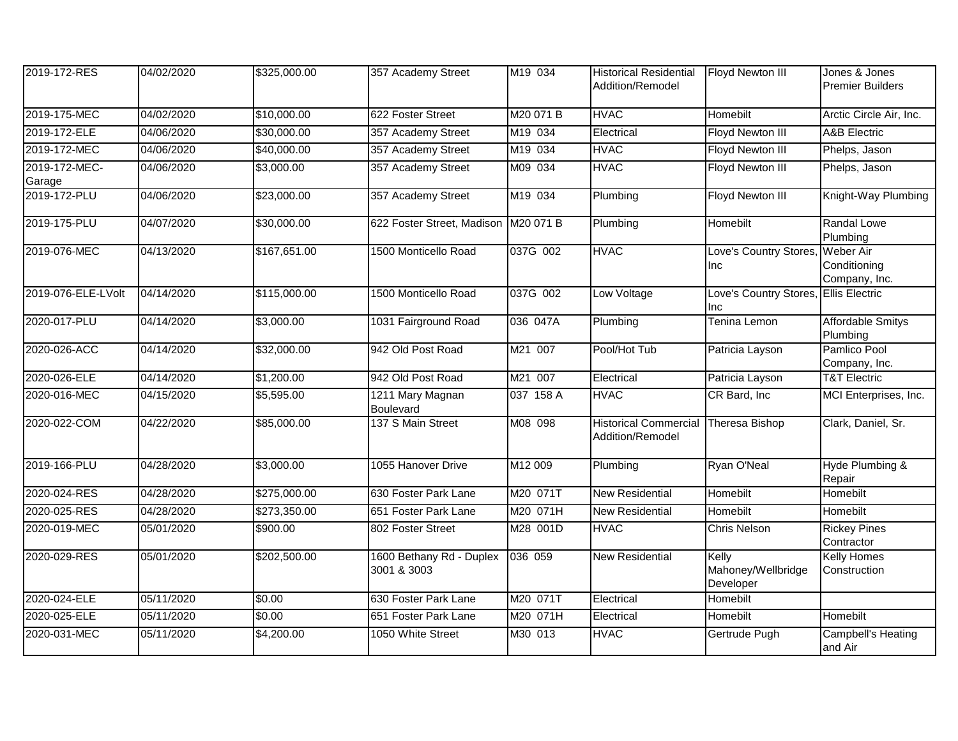| 2019-172-RES            | 04/02/2020 | \$325,000.00 | 357 Academy Street                      | M19 034   | <b>Historical Residential</b><br>Addition/Remodel | Floyd Newton III                                | Jones & Jones<br><b>Premier Builders</b> |
|-------------------------|------------|--------------|-----------------------------------------|-----------|---------------------------------------------------|-------------------------------------------------|------------------------------------------|
| 2019-175-MEC            | 04/02/2020 | \$10,000.00  | 622 Foster Street                       | M20 071 B | <b>HVAC</b>                                       | Homebilt                                        | Arctic Circle Air, Inc.                  |
| 2019-172-ELE            | 04/06/2020 | \$30,000.00  | 357 Academy Street                      | M19 034   | Electrical                                        | Floyd Newton III                                | <b>A&amp;B</b> Electric                  |
| 2019-172-MEC            | 04/06/2020 | \$40,000.00  | 357 Academy Street                      | M19 034   | <b>HVAC</b>                                       | Floyd Newton III                                | Phelps, Jason                            |
| 2019-172-MEC-<br>Garage | 04/06/2020 | \$3,000.00   | 357 Academy Street                      | M09 034   | <b>HVAC</b>                                       | Floyd Newton III                                | Phelps, Jason                            |
| 2019-172-PLU            | 04/06/2020 | \$23,000.00  | 357 Academy Street                      | M19 034   | Plumbing                                          | Floyd Newton III                                | Knight-Way Plumbing                      |
| 2019-175-PLU            | 04/07/2020 | \$30,000.00  | 622 Foster Street, Madison              | M20 071 B | Plumbing                                          | Homebilt                                        | Randal Lowe<br>Plumbing                  |
| 2019-076-MEC            | 04/13/2020 | \$167,651.00 | 1500 Monticello Road                    | 037G 002  | <b>HVAC</b>                                       | Love's Country Stores, Weber Air<br><b>I</b> nc | Conditioning<br>Company, Inc.            |
| 2019-076-ELE-LVolt      | 04/14/2020 | \$115,000.00 | 1500 Monticello Road                    | 037G 002  | Low Voltage                                       | Love's Country Stores, Ellis Electric<br>Inc    |                                          |
| 2020-017-PLU            | 04/14/2020 | \$3,000.00   | 1031 Fairground Road                    | 036 047A  | Plumbing                                          | <b>Tenina Lemon</b>                             | <b>Affordable Smitys</b><br>Plumbing     |
| 2020-026-ACC            | 04/14/2020 | \$32,000.00  | 942 Old Post Road                       | M21 007   | Pool/Hot Tub                                      | Patricia Layson                                 | Pamlico Pool<br>Company, Inc.            |
| 2020-026-ELE            | 04/14/2020 | \$1,200.00   | 942 Old Post Road                       | M21 007   | Electrical                                        | Patricia Layson                                 | <b>T&amp;T Electric</b>                  |
| 2020-016-MEC            | 04/15/2020 | \$5,595.00   | 1211 Mary Magnan<br><b>Boulevard</b>    | 037 158 A | <b>HVAC</b>                                       | CR Bard, Inc.                                   | MCI Enterprises, Inc.                    |
| 2020-022-COM            | 04/22/2020 | \$85,000.00  | 137 S Main Street                       | M08 098   | <b>Historical Commercial</b><br>Addition/Remodel  | Theresa Bishop                                  | Clark, Daniel, Sr.                       |
| 2019-166-PLU            | 04/28/2020 | \$3,000.00   | 1055 Hanover Drive                      | M12 009   | Plumbing                                          | Ryan O'Neal                                     | Hyde Plumbing &<br>Repair                |
| 2020-024-RES            | 04/28/2020 | \$275,000.00 | 630 Foster Park Lane                    | M20 071T  | <b>New Residential</b>                            | Homebilt                                        | Homebilt                                 |
| 2020-025-RES            | 04/28/2020 | \$273,350.00 | 651 Foster Park Lane                    | M20 071H  | New Residential                                   | Homebilt                                        | Homebilt                                 |
| 2020-019-MEC            | 05/01/2020 | \$900.00     | 802 Foster Street                       | M28 001D  | <b>HVAC</b>                                       | <b>Chris Nelson</b>                             | <b>Rickey Pines</b><br>Contractor        |
| 2020-029-RES            | 05/01/2020 | \$202,500.00 | 1600 Bethany Rd - Duplex<br>3001 & 3003 | 036 059   | <b>New Residential</b>                            | Kelly<br>Mahoney/Wellbridge<br>Developer        | <b>Kelly Homes</b><br>Construction       |
| 2020-024-ELE            | 05/11/2020 | \$0.00       | 630 Foster Park Lane                    | M20 071T  | Electrical                                        | <b>Homebilt</b>                                 |                                          |
| 2020-025-ELE            | 05/11/2020 | \$0.00       | 651 Foster Park Lane                    | M20 071H  | Electrical                                        | Homebilt                                        | Homebilt                                 |
| 2020-031-MEC            | 05/11/2020 | \$4,200.00   | 1050 White Street                       | M30 013   | <b>HVAC</b>                                       | Gertrude Pugh                                   | Campbell's Heating<br>and Air            |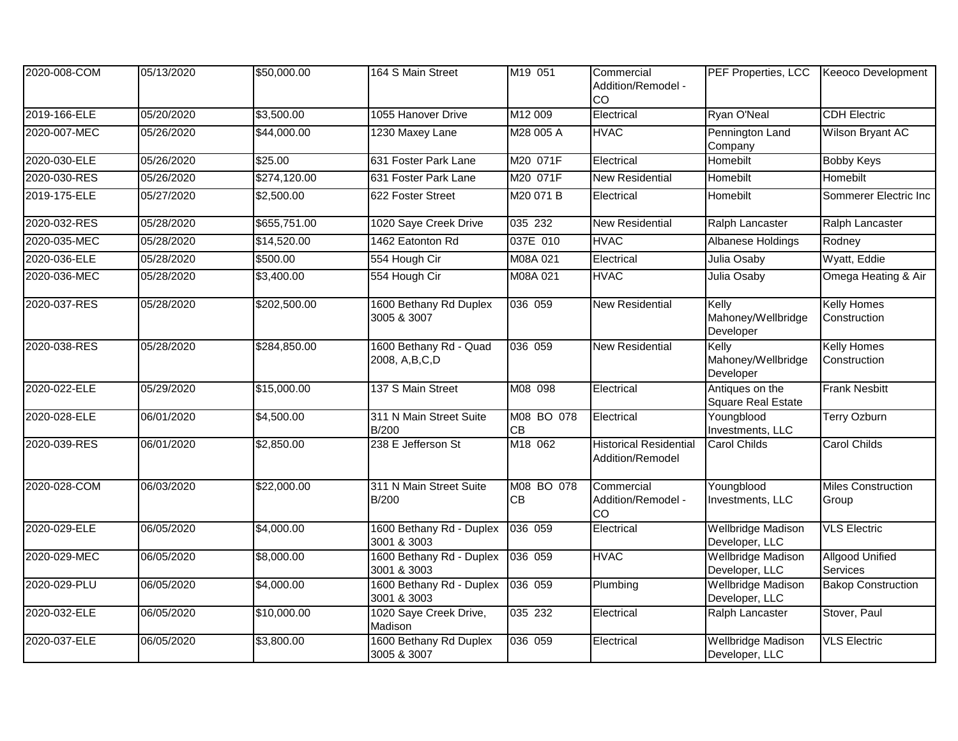| 2020-008-COM | 05/13/2020 | \$50,000.00  | 164 S Main Street                       | M19 051                 | Commercial<br>Addition/Remodel -<br>CO            | PEF Properties, LCC                          | <b>Keeoco Development</b>          |
|--------------|------------|--------------|-----------------------------------------|-------------------------|---------------------------------------------------|----------------------------------------------|------------------------------------|
| 2019-166-ELE | 05/20/2020 | \$3,500.00   | 1055 Hanover Drive                      | M12 009                 | Electrical                                        | Ryan O'Neal                                  | <b>CDH Electric</b>                |
| 2020-007-MEC | 05/26/2020 | \$44,000.00  | 1230 Maxey Lane                         | M28 005 A               | <b>HVAC</b>                                       | Pennington Land<br>Company                   | Wilson Bryant AC                   |
| 2020-030-ELE | 05/26/2020 | \$25.00      | 631 Foster Park Lane                    | M20 071F                | Electrical                                        | Homebilt                                     | <b>Bobby Keys</b>                  |
| 2020-030-RES | 05/26/2020 | \$274,120.00 | 631 Foster Park Lane                    | M20 071F                | <b>New Residential</b>                            | Homebilt                                     | Homebilt                           |
| 2019-175-ELE | 05/27/2020 | \$2,500.00   | 622 Foster Street                       | M20 071 B               | Electrical                                        | Homebilt                                     | Sommerer Electric Inc              |
| 2020-032-RES | 05/28/2020 | \$655,751.00 | 1020 Saye Creek Drive                   | 035 232                 | <b>New Residential</b>                            | Ralph Lancaster                              | Ralph Lancaster                    |
| 2020-035-MEC | 05/28/2020 | \$14,520.00  | 1462 Eatonton Rd                        | 037E 010                | <b>HVAC</b>                                       | Albanese Holdings                            | Rodney                             |
| 2020-036-ELE | 05/28/2020 | \$500.00     | 554 Hough Cir                           | M08A 021                | Electrical                                        | Julia Osaby                                  | Wyatt, Eddie                       |
| 2020-036-MEC | 05/28/2020 | \$3,400.00   | 554 Hough Cir                           | M08A 021                | <b>HVAC</b>                                       | Julia Osaby                                  | Omega Heating & Air                |
| 2020-037-RES | 05/28/2020 | \$202,500.00 | 1600 Bethany Rd Duplex<br>3005 & 3007   | 036 059                 | <b>New Residential</b>                            | Kelly<br>Mahoney/Wellbridge<br>Developer     | <b>Kelly Homes</b><br>Construction |
| 2020-038-RES | 05/28/2020 | \$284,850.00 | 1600 Bethany Rd - Quad<br>2008, A,B,C,D | 036 059                 | <b>New Residential</b>                            | Kelly<br>Mahoney/Wellbridge<br>Developer     | <b>Kelly Homes</b><br>Construction |
| 2020-022-ELE | 05/29/2020 | \$15,000.00  | 137 S Main Street                       | M08 098                 | Electrical                                        | Antiques on the<br><b>Square Real Estate</b> | <b>Frank Nesbitt</b>               |
| 2020-028-ELE | 06/01/2020 | \$4,500.00   | 311 N Main Street Suite<br><b>B/200</b> | M08 BO 078<br>CB        | Electrical                                        | Youngblood<br>Investments, LLC               | <b>Terry Ozburn</b>                |
| 2020-039-RES | 06/01/2020 | \$2,850.00   | 238 E Jefferson St                      | M18 062                 | <b>Historical Residential</b><br>Addition/Remodel | <b>Carol Childs</b>                          | <b>Carol Childs</b>                |
| 2020-028-COM | 06/03/2020 | \$22,000.00  | 311 N Main Street Suite<br><b>B/200</b> | M08 BO 078<br><b>CB</b> | Commercial<br>Addition/Remodel -<br>CO            | Youngblood<br>Investments, LLC               | <b>Miles Construction</b><br>Group |
| 2020-029-ELE | 06/05/2020 | \$4,000.00   | 1600 Bethany Rd - Duplex<br>3001 & 3003 | 036 059                 | Electrical                                        | <b>Wellbridge Madison</b><br>Developer, LLC  | <b>VLS Electric</b>                |
| 2020-029-MEC | 06/05/2020 | \$8,000.00   | 1600 Bethany Rd - Duplex<br>3001 & 3003 | 036 059                 | <b>HVAC</b>                                       | Wellbridge Madison<br>Developer, LLC         | <b>Allgood Unified</b><br>Services |
| 2020-029-PLU | 06/05/2020 | \$4,000.00   | 1600 Bethany Rd - Duplex<br>3001 & 3003 | 036 059                 | Plumbing                                          | <b>Wellbridge Madison</b><br>Developer, LLC  | <b>Bakop Construction</b>          |
| 2020-032-ELE | 06/05/2020 | \$10,000.00  | 1020 Saye Creek Drive,<br>Madison       | 035 232                 | Electrical                                        | Ralph Lancaster                              | Stover, Paul                       |
| 2020-037-ELE | 06/05/2020 | \$3,800.00   | 1600 Bethany Rd Duplex<br>3005 & 3007   | 036 059                 | Electrical                                        | <b>Wellbridge Madison</b><br>Developer, LLC  | <b>VLS Electric</b>                |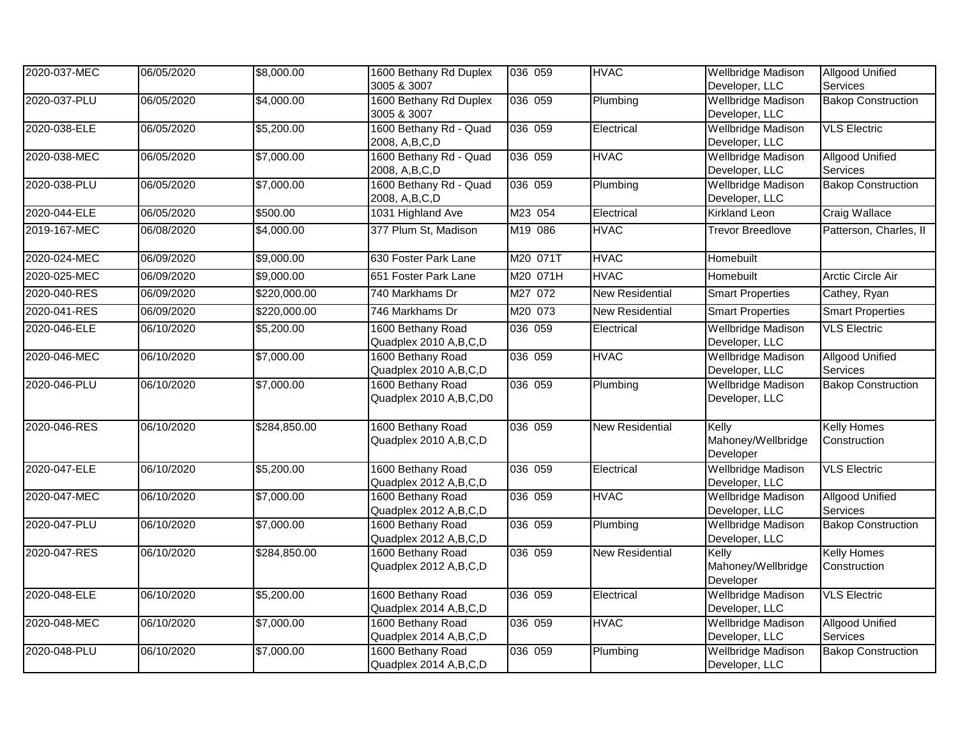| 2020-037-MEC | 06/05/2020 | \$8,000.00   | 1600 Bethany Rd Duplex<br>3005 & 3007         | 036 059  | <b>HVAC</b>            | <b>Wellbridge Madison</b><br>Developer, LLC | <b>Allgood Unified</b><br>Services        |
|--------------|------------|--------------|-----------------------------------------------|----------|------------------------|---------------------------------------------|-------------------------------------------|
| 2020-037-PLU | 06/05/2020 | \$4,000.00   | 1600 Bethany Rd Duplex<br>3005 & 3007         | 036 059  | Plumbing               | <b>Wellbridge Madison</b><br>Developer, LLC | <b>Bakop Construction</b>                 |
| 2020-038-ELE | 06/05/2020 | \$5,200.00   | 1600 Bethany Rd - Quad<br>2008, A,B,C,D       | 036 059  | Electrical             | <b>Wellbridge Madison</b><br>Developer, LLC | <b>VLS Electric</b>                       |
| 2020-038-MEC | 06/05/2020 | \$7,000.00   | 1600 Bethany Rd - Quad<br>2008, A,B,C,D       | 036 059  | <b>HVAC</b>            | <b>Wellbridge Madison</b><br>Developer, LLC | <b>Allgood Unified</b><br>Services        |
| 2020-038-PLU | 06/05/2020 | \$7,000.00   | 1600 Bethany Rd - Quad<br>2008, A,B,C,D       | 036 059  | Plumbing               | <b>Wellbridge Madison</b><br>Developer, LLC | <b>Bakop Construction</b>                 |
| 2020-044-ELE | 06/05/2020 | \$500.00     | 1031 Highland Ave                             | M23 054  | Electrical             | <b>Kirkland Leon</b>                        | <b>Craig Wallace</b>                      |
| 2019-167-MEC | 06/08/2020 | \$4,000.00   | 377 Plum St, Madison                          | M19 086  | <b>HVAC</b>            | <b>Trevor Breedlove</b>                     | Patterson, Charles, II                    |
| 2020-024-MEC | 06/09/2020 | \$9,000.00   | 630 Foster Park Lane                          | M20 071T | <b>HVAC</b>            | Homebuilt                                   |                                           |
| 2020-025-MEC | 06/09/2020 | \$9,000.00   | 651 Foster Park Lane                          | M20 071H | <b>HVAC</b>            | Homebuilt                                   | Arctic Circle Air                         |
| 2020-040-RES | 06/09/2020 | \$220,000.00 | 740 Markhams Dr                               | M27 072  | <b>New Residential</b> | <b>Smart Properties</b>                     | Cathey, Ryan                              |
| 2020-041-RES | 06/09/2020 | \$220,000.00 | 746 Markhams Dr                               | M20 073  | <b>New Residential</b> | <b>Smart Properties</b>                     | <b>Smart Properties</b>                   |
| 2020-046-ELE | 06/10/2020 | \$5,200.00   | 1600 Bethany Road<br>Quadplex 2010 A,B,C,D    | 036 059  | Electrical             | <b>Wellbridge Madison</b><br>Developer, LLC | <b>VLS Electric</b>                       |
| 2020-046-MEC | 06/10/2020 | \$7,000.00   | 1600 Bethany Road<br>Quadplex 2010 A,B,C,D    | 036 059  | <b>HVAC</b>            | <b>Wellbridge Madison</b><br>Developer, LLC | <b>Allgood Unified</b><br><b>Services</b> |
| 2020-046-PLU | 06/10/2020 | \$7,000.00   | 1600 Bethany Road<br>Quadplex 2010 A,B,C,D0   | 036 059  | Plumbing               | <b>Wellbridge Madison</b><br>Developer, LLC | <b>Bakop Construction</b>                 |
| 2020-046-RES | 06/10/2020 | \$284,850.00 | 1600 Bethany Road<br>Quadplex 2010 A,B,C,D    | 036 059  | <b>New Residential</b> | Kelly<br>Mahoney/Wellbridge<br>Developer    | <b>Kelly Homes</b><br>Construction        |
| 2020-047-ELE | 06/10/2020 | \$5,200.00   | 1600 Bethany Road<br>Quadplex 2012 A,B,C,D    | 036 059  | Electrical             | <b>Wellbridge Madison</b><br>Developer, LLC | <b>VLS Electric</b>                       |
| 2020-047-MEC | 06/10/2020 | \$7,000.00   | 1600 Bethany Road<br>Quadplex 2012 A,B,C,D    | 036 059  | <b>HVAC</b>            | <b>Wellbridge Madison</b><br>Developer, LLC | <b>Allgood Unified</b><br>Services        |
| 2020-047-PLU | 06/10/2020 | \$7,000.00   | 1600 Bethany Road<br>Quadplex 2012 A,B,C,D    | 036 059  | Plumbing               | <b>Wellbridge Madison</b><br>Developer, LLC | <b>Bakop Construction</b>                 |
| 2020-047-RES | 06/10/2020 | \$284,850.00 | 1600 Bethany Road<br>Quadplex 2012 A,B,C,D    | 036 059  | <b>New Residential</b> | Kelly<br>Mahoney/Wellbridge<br>Developer    | <b>Kelly Homes</b><br>Construction        |
| 2020-048-ELE | 06/10/2020 | \$5,200.00   | 1600 Bethany Road<br>Quadplex 2014 A, B, C, D | 036 059  | Electrical             | <b>Wellbridge Madison</b><br>Developer, LLC | <b>VLS Electric</b>                       |
| 2020-048-MEC | 06/10/2020 | \$7,000.00   | 1600 Bethany Road<br>Quadplex 2014 A,B,C,D    | 036 059  | <b>HVAC</b>            | <b>Wellbridge Madison</b><br>Developer, LLC | <b>Allgood Unified</b><br>Services        |
| 2020-048-PLU | 06/10/2020 | \$7,000.00   | 1600 Bethany Road<br>Quadplex 2014 A,B,C,D    | 036 059  | Plumbing               | <b>Wellbridge Madison</b><br>Developer, LLC | <b>Bakop Construction</b>                 |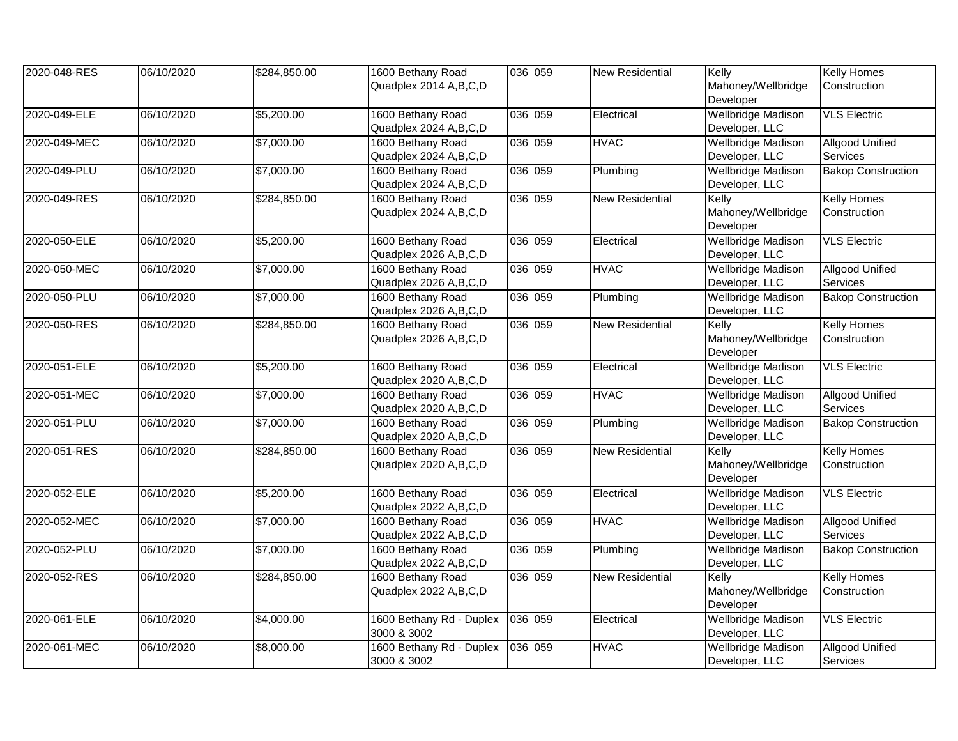| 2020-048-RES | 06/10/2020 | \$284,850.00 | 1600 Bethany Road<br>Quadplex 2014 A,B,C,D    | 036 059 | <b>New Residential</b> | Kelly<br>Mahoney/Wellbridge<br>Developer    | <b>Kelly Homes</b><br>Construction |
|--------------|------------|--------------|-----------------------------------------------|---------|------------------------|---------------------------------------------|------------------------------------|
| 2020-049-ELE | 06/10/2020 | \$5,200.00   | 1600 Bethany Road<br>Quadplex 2024 A,B,C,D    | 036 059 | Electrical             | <b>Wellbridge Madison</b><br>Developer, LLC | <b>VLS Electric</b>                |
| 2020-049-MEC | 06/10/2020 | \$7,000.00   | 1600 Bethany Road<br>Quadplex 2024 A,B,C,D    | 036 059 | <b>HVAC</b>            | <b>Wellbridge Madison</b><br>Developer, LLC | <b>Allgood Unified</b><br>Services |
| 2020-049-PLU | 06/10/2020 | \$7,000.00   | 1600 Bethany Road<br>Quadplex 2024 A,B,C,D    | 036 059 | Plumbing               | Wellbridge Madison<br>Developer, LLC        | <b>Bakop Construction</b>          |
| 2020-049-RES | 06/10/2020 | \$284,850.00 | 1600 Bethany Road<br>Quadplex 2024 A,B,C,D    | 036 059 | New Residential        | Kelly<br>Mahoney/Wellbridge<br>Developer    | <b>Kelly Homes</b><br>Construction |
| 2020-050-ELE | 06/10/2020 | \$5,200.00   | 1600 Bethany Road<br>Quadplex 2026 A,B,C,D    | 036 059 | Electrical             | <b>Wellbridge Madison</b><br>Developer, LLC | <b>VLS Electric</b>                |
| 2020-050-MEC | 06/10/2020 | \$7,000.00   | 1600 Bethany Road<br>Quadplex 2026 A,B,C,D    | 036 059 | <b>HVAC</b>            | <b>Wellbridge Madison</b><br>Developer, LLC | <b>Allgood Unified</b><br>Services |
| 2020-050-PLU | 06/10/2020 | \$7,000.00   | 1600 Bethany Road<br>Quadplex 2026 A,B,C,D    | 036 059 | Plumbing               | <b>Wellbridge Madison</b><br>Developer, LLC | <b>Bakop Construction</b>          |
| 2020-050-RES | 06/10/2020 | \$284,850.00 | 1600 Bethany Road<br>Quadplex 2026 A,B,C,D    | 036 059 | <b>New Residential</b> | Kelly<br>Mahoney/Wellbridge<br>Developer    | <b>Kelly Homes</b><br>Construction |
| 2020-051-ELE | 06/10/2020 | \$5,200.00   | 1600 Bethany Road<br>Quadplex 2020 A,B,C,D    | 036 059 | Electrical             | Wellbridge Madison<br>Developer, LLC        | <b>VLS Electric</b>                |
| 2020-051-MEC | 06/10/2020 | \$7,000.00   | 1600 Bethany Road<br>Quadplex 2020 A, B, C, D | 036 059 | <b>HVAC</b>            | <b>Wellbridge Madison</b><br>Developer, LLC | <b>Allgood Unified</b><br>Services |
| 2020-051-PLU | 06/10/2020 | \$7,000.00   | 1600 Bethany Road<br>Quadplex 2020 A,B,C,D    | 036 059 | Plumbing               | Wellbridge Madison<br>Developer, LLC        | <b>Bakop Construction</b>          |
| 2020-051-RES | 06/10/2020 | \$284,850.00 | 1600 Bethany Road<br>Quadplex 2020 A,B,C,D    | 036 059 | <b>New Residential</b> | Kelly<br>Mahoney/Wellbridge<br>Developer    | <b>Kelly Homes</b><br>Construction |
| 2020-052-ELE | 06/10/2020 | \$5,200.00   | 1600 Bethany Road<br>Quadplex 2022 A,B,C,D    | 036 059 | Electrical             | <b>Wellbridge Madison</b><br>Developer, LLC | <b>VLS Electric</b>                |
| 2020-052-MEC | 06/10/2020 | \$7,000.00   | 1600 Bethany Road<br>Quadplex 2022 A,B,C,D    | 036 059 | <b>HVAC</b>            | <b>Wellbridge Madison</b><br>Developer, LLC | <b>Allgood Unified</b><br>Services |
| 2020-052-PLU | 06/10/2020 | \$7,000.00   | 1600 Bethany Road<br>Quadplex 2022 A,B,C,D    | 036 059 | Plumbing               | <b>Wellbridge Madison</b><br>Developer, LLC | <b>Bakop Construction</b>          |
| 2020-052-RES | 06/10/2020 | \$284,850.00 | 1600 Bethany Road<br>Quadplex 2022 A,B,C,D    | 036 059 | New Residential        | Kelly<br>Mahoney/Wellbridge<br>Developer    | <b>Kelly Homes</b><br>Construction |
| 2020-061-ELE | 06/10/2020 | \$4,000.00   | 1600 Bethany Rd - Duplex<br>3000 & 3002       | 036 059 | Electrical             | <b>Wellbridge Madison</b><br>Developer, LLC | <b>VLS Electric</b>                |
| 2020-061-MEC | 06/10/2020 | \$8,000.00   | 1600 Bethany Rd - Duplex<br>3000 & 3002       | 036 059 | <b>HVAC</b>            | <b>Wellbridge Madison</b><br>Developer, LLC | <b>Allgood Unified</b><br>Services |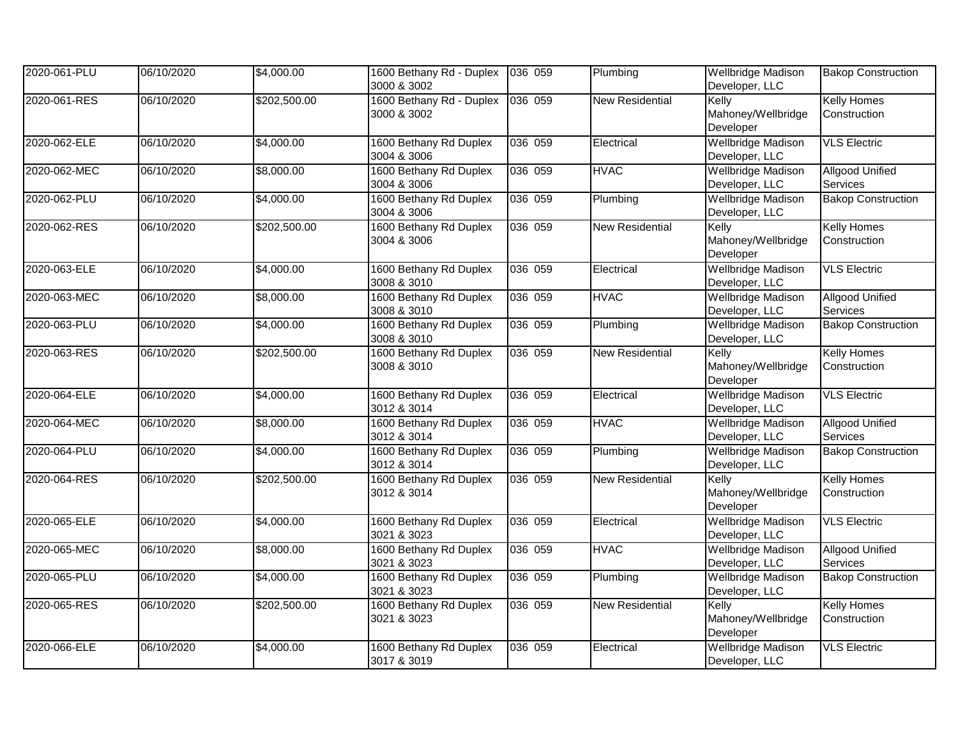| 2020-061-PLU | 06/10/2020 | \$4,000.00   | 1600 Bethany Rd - Duplex 036 059<br>3000 & 3002 |         | Plumbing               | Wellbridge Madison<br>Developer, LLC        | <b>Bakop Construction</b>          |
|--------------|------------|--------------|-------------------------------------------------|---------|------------------------|---------------------------------------------|------------------------------------|
| 2020-061-RES | 06/10/2020 | \$202,500.00 | 1600 Bethany Rd - Duplex<br>3000 & 3002         | 036 059 | <b>New Residential</b> | Kelly<br>Mahoney/Wellbridge<br>Developer    | <b>Kelly Homes</b><br>Construction |
| 2020-062-ELE | 06/10/2020 | \$4,000.00   | 1600 Bethany Rd Duplex<br>3004 & 3006           | 036 059 | Electrical             | <b>Wellbridge Madison</b><br>Developer, LLC | <b>VLS Electric</b>                |
| 2020-062-MEC | 06/10/2020 | \$8,000.00   | 1600 Bethany Rd Duplex<br>3004 & 3006           | 036 059 | <b>HVAC</b>            | <b>Wellbridge Madison</b><br>Developer, LLC | <b>Allgood Unified</b><br>Services |
| 2020-062-PLU | 06/10/2020 | \$4,000.00   | 1600 Bethany Rd Duplex<br>3004 & 3006           | 036 059 | Plumbing               | <b>Wellbridge Madison</b><br>Developer, LLC | <b>Bakop Construction</b>          |
| 2020-062-RES | 06/10/2020 | \$202,500.00 | 1600 Bethany Rd Duplex<br>3004 & 3006           | 036 059 | <b>New Residential</b> | Kelly<br>Mahoney/Wellbridge<br>Developer    | <b>Kelly Homes</b><br>Construction |
| 2020-063-ELE | 06/10/2020 | \$4,000.00   | 1600 Bethany Rd Duplex<br>3008 & 3010           | 036 059 | Electrical             | <b>Wellbridge Madison</b><br>Developer, LLC | <b>VLS Electric</b>                |
| 2020-063-MEC | 06/10/2020 | \$8,000.00   | 1600 Bethany Rd Duplex<br>3008 & 3010           | 036 059 | <b>HVAC</b>            | <b>Wellbridge Madison</b><br>Developer, LLC | <b>Allgood Unified</b><br>Services |
| 2020-063-PLU | 06/10/2020 | \$4,000.00   | 1600 Bethany Rd Duplex<br>3008 & 3010           | 036 059 | Plumbing               | <b>Wellbridge Madison</b><br>Developer, LLC | <b>Bakop Construction</b>          |
| 2020-063-RES | 06/10/2020 | \$202,500.00 | 1600 Bethany Rd Duplex<br>3008 & 3010           | 036 059 | <b>New Residential</b> | Kelly<br>Mahoney/Wellbridge<br>Developer    | <b>Kelly Homes</b><br>Construction |
| 2020-064-ELE | 06/10/2020 | \$4,000.00   | 1600 Bethany Rd Duplex<br>3012 & 3014           | 036 059 | Electrical             | <b>Wellbridge Madison</b><br>Developer, LLC | <b>VLS Electric</b>                |
| 2020-064-MEC | 06/10/2020 | \$8,000.00   | 1600 Bethany Rd Duplex<br>3012 & 3014           | 036 059 | <b>HVAC</b>            | <b>Wellbridge Madison</b><br>Developer, LLC | <b>Allgood Unified</b><br>Services |
| 2020-064-PLU | 06/10/2020 | \$4,000.00   | 1600 Bethany Rd Duplex<br>3012 & 3014           | 036 059 | Plumbing               | Wellbridge Madison<br>Developer, LLC        | <b>Bakop Construction</b>          |
| 2020-064-RES | 06/10/2020 | \$202,500.00 | 1600 Bethany Rd Duplex<br>3012 & 3014           | 036 059 | <b>New Residential</b> | Kelly<br>Mahoney/Wellbridge<br>Developer    | <b>Kelly Homes</b><br>Construction |
| 2020-065-ELE | 06/10/2020 | \$4,000.00   | 1600 Bethany Rd Duplex<br>3021 & 3023           | 036 059 | Electrical             | <b>Wellbridge Madison</b><br>Developer, LLC | <b>VLS Electric</b>                |
| 2020-065-MEC | 06/10/2020 | \$8,000.00   | 1600 Bethany Rd Duplex<br>3021 & 3023           | 036 059 | <b>HVAC</b>            | <b>Wellbridge Madison</b><br>Developer, LLC | <b>Allgood Unified</b><br>Services |
| 2020-065-PLU | 06/10/2020 | \$4,000.00   | 1600 Bethany Rd Duplex<br>3021 & 3023           | 036 059 | Plumbing               | <b>Wellbridge Madison</b><br>Developer, LLC | <b>Bakop Construction</b>          |
| 2020-065-RES | 06/10/2020 | \$202,500.00 | 1600 Bethany Rd Duplex<br>3021 & 3023           | 036 059 | <b>New Residential</b> | Kelly<br>Mahoney/Wellbridge<br>Developer    | <b>Kelly Homes</b><br>Construction |
| 2020-066-ELE | 06/10/2020 | \$4,000.00   | 1600 Bethany Rd Duplex<br>3017 & 3019           | 036 059 | Electrical             | Wellbridge Madison<br>Developer, LLC        | <b>VLS Electric</b>                |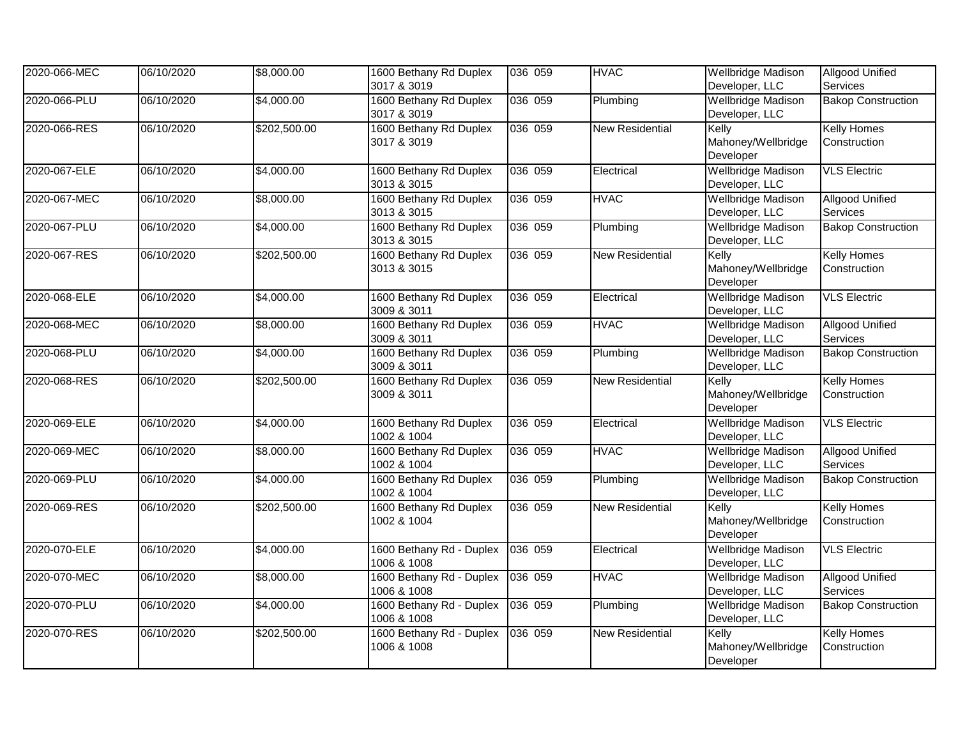| 2020-066-MEC | 06/10/2020 | \$8,000.00   | 1600 Bethany Rd Duplex<br>3017 & 3019   | 036 059 | <b>HVAC</b>            | Wellbridge Madison<br>Developer, LLC        | <b>Allgood Unified</b><br>Services        |
|--------------|------------|--------------|-----------------------------------------|---------|------------------------|---------------------------------------------|-------------------------------------------|
| 2020-066-PLU | 06/10/2020 | \$4,000.00   | 1600 Bethany Rd Duplex<br>3017 & 3019   | 036 059 | Plumbing               | <b>Wellbridge Madison</b><br>Developer, LLC | <b>Bakop Construction</b>                 |
| 2020-066-RES | 06/10/2020 | \$202,500.00 | 1600 Bethany Rd Duplex<br>3017 & 3019   | 036 059 | <b>New Residential</b> | Kelly<br>Mahoney/Wellbridge<br>Developer    | <b>Kelly Homes</b><br>Construction        |
| 2020-067-ELE | 06/10/2020 | \$4,000.00   | 1600 Bethany Rd Duplex<br>3013 & 3015   | 036 059 | Electrical             | <b>Wellbridge Madison</b><br>Developer, LLC | <b>VLS Electric</b>                       |
| 2020-067-MEC | 06/10/2020 | \$8,000.00   | 1600 Bethany Rd Duplex<br>3013 & 3015   | 036 059 | <b>HVAC</b>            | <b>Wellbridge Madison</b><br>Developer, LLC | <b>Allgood Unified</b><br>Services        |
| 2020-067-PLU | 06/10/2020 | \$4,000.00   | 1600 Bethany Rd Duplex<br>3013 & 3015   | 036 059 | Plumbing               | <b>Wellbridge Madison</b><br>Developer, LLC | <b>Bakop Construction</b>                 |
| 2020-067-RES | 06/10/2020 | \$202,500.00 | 1600 Bethany Rd Duplex<br>3013 & 3015   | 036 059 | <b>New Residential</b> | Kelly<br>Mahoney/Wellbridge<br>Developer    | <b>Kelly Homes</b><br>Construction        |
| 2020-068-ELE | 06/10/2020 | \$4,000.00   | 1600 Bethany Rd Duplex<br>3009 & 3011   | 036 059 | Electrical             | <b>Wellbridge Madison</b><br>Developer, LLC | <b>VLS Electric</b>                       |
| 2020-068-MEC | 06/10/2020 | \$8,000.00   | 1600 Bethany Rd Duplex<br>3009 & 3011   | 036 059 | <b>HVAC</b>            | <b>Wellbridge Madison</b><br>Developer, LLC | <b>Allgood Unified</b><br><b>Services</b> |
| 2020-068-PLU | 06/10/2020 | \$4,000.00   | 1600 Bethany Rd Duplex<br>3009 & 3011   | 036 059 | Plumbing               | <b>Wellbridge Madison</b><br>Developer, LLC | <b>Bakop Construction</b>                 |
| 2020-068-RES | 06/10/2020 | \$202,500.00 | 1600 Bethany Rd Duplex<br>3009 & 3011   | 036 059 | <b>New Residential</b> | Kelly<br>Mahoney/Wellbridge<br>Developer    | <b>Kelly Homes</b><br>Construction        |
| 2020-069-ELE | 06/10/2020 | \$4,000.00   | 1600 Bethany Rd Duplex<br>1002 & 1004   | 036 059 | Electrical             | <b>Wellbridge Madison</b><br>Developer, LLC | <b>VLS Electric</b>                       |
| 2020-069-MEC | 06/10/2020 | \$8,000.00   | 1600 Bethany Rd Duplex<br>1002 & 1004   | 036 059 | <b>HVAC</b>            | <b>Wellbridge Madison</b><br>Developer, LLC | <b>Allgood Unified</b><br>Services        |
| 2020-069-PLU | 06/10/2020 | \$4,000.00   | 1600 Bethany Rd Duplex<br>1002 & 1004   | 036 059 | Plumbing               | <b>Wellbridge Madison</b><br>Developer, LLC | <b>Bakop Construction</b>                 |
| 2020-069-RES | 06/10/2020 | \$202,500.00 | 1600 Bethany Rd Duplex<br>1002 & 1004   | 036 059 | <b>New Residential</b> | Kelly<br>Mahoney/Wellbridge<br>Developer    | <b>Kelly Homes</b><br>Construction        |
| 2020-070-ELE | 06/10/2020 | \$4,000.00   | 1600 Bethany Rd - Duplex<br>1006 & 1008 | 036 059 | Electrical             | <b>Wellbridge Madison</b><br>Developer, LLC | <b>VLS Electric</b>                       |
| 2020-070-MEC | 06/10/2020 | \$8,000.00   | 1600 Bethany Rd - Duplex<br>1006 & 1008 | 036 059 | <b>HVAC</b>            | <b>Wellbridge Madison</b><br>Developer, LLC | <b>Allgood Unified</b><br>Services        |
| 2020-070-PLU | 06/10/2020 | \$4,000.00   | 1600 Bethany Rd - Duplex<br>1006 & 1008 | 036 059 | Plumbing               | <b>Wellbridge Madison</b><br>Developer, LLC | <b>Bakop Construction</b>                 |
| 2020-070-RES | 06/10/2020 | \$202,500.00 | 1600 Bethany Rd - Duplex<br>1006 & 1008 | 036 059 | New Residential        | Kelly<br>Mahoney/Wellbridge<br>Developer    | <b>Kelly Homes</b><br>Construction        |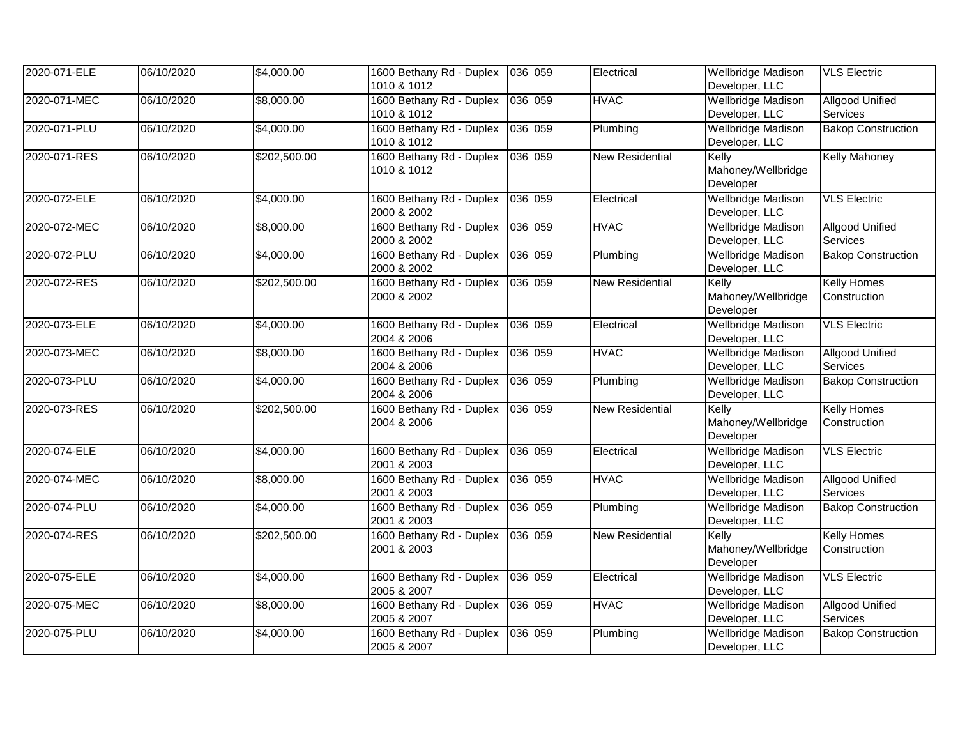| 2020-071-ELE | 06/10/2020 | \$4,000.00   | 1600 Bethany Rd - Duplex 036 059<br>1010 & 1012 |         | Electrical             | <b>Wellbridge Madison</b><br>Developer, LLC | <b>VLS Electric</b>                |
|--------------|------------|--------------|-------------------------------------------------|---------|------------------------|---------------------------------------------|------------------------------------|
| 2020-071-MEC | 06/10/2020 | \$8,000.00   | 1600 Bethany Rd - Duplex<br>1010 & 1012         | 036 059 | <b>HVAC</b>            | Wellbridge Madison<br>Developer, LLC        | <b>Allgood Unified</b><br>Services |
| 2020-071-PLU | 06/10/2020 | \$4,000.00   | 1600 Bethany Rd - Duplex<br>1010 & 1012         | 036 059 | Plumbing               | <b>Wellbridge Madison</b><br>Developer, LLC | <b>Bakop Construction</b>          |
| 2020-071-RES | 06/10/2020 | \$202,500.00 | 1600 Bethany Rd - Duplex<br>1010 & 1012         | 036 059 | <b>New Residential</b> | Kelly<br>Mahoney/Wellbridge<br>Developer    | <b>Kelly Mahoney</b>               |
| 2020-072-ELE | 06/10/2020 | \$4,000.00   | 1600 Bethany Rd - Duplex<br>2000 & 2002         | 036 059 | Electrical             | <b>Wellbridge Madison</b><br>Developer, LLC | <b>VLS Electric</b>                |
| 2020-072-MEC | 06/10/2020 | \$8,000.00   | 1600 Bethany Rd - Duplex<br>2000 & 2002         | 036 059 | <b>HVAC</b>            | Wellbridge Madison<br>Developer, LLC        | <b>Allgood Unified</b><br>Services |
| 2020-072-PLU | 06/10/2020 | \$4,000.00   | 1600 Bethany Rd - Duplex<br>2000 & 2002         | 036 059 | Plumbing               | <b>Wellbridge Madison</b><br>Developer, LLC | <b>Bakop Construction</b>          |
| 2020-072-RES | 06/10/2020 | \$202,500.00 | 1600 Bethany Rd - Duplex<br>2000 & 2002         | 036 059 | <b>New Residential</b> | Kelly<br>Mahoney/Wellbridge<br>Developer    | <b>Kelly Homes</b><br>Construction |
| 2020-073-ELE | 06/10/2020 | \$4,000.00   | 1600 Bethany Rd - Duplex<br>2004 & 2006         | 036 059 | Electrical             | <b>Wellbridge Madison</b><br>Developer, LLC | <b>VLS Electric</b>                |
| 2020-073-MEC | 06/10/2020 | \$8,000.00   | 1600 Bethany Rd - Duplex<br>2004 & 2006         | 036 059 | <b>HVAC</b>            | <b>Wellbridge Madison</b><br>Developer, LLC | <b>Allgood Unified</b><br>Services |
| 2020-073-PLU | 06/10/2020 | \$4,000.00   | 1600 Bethany Rd - Duplex<br>2004 & 2006         | 036 059 | Plumbing               | <b>Wellbridge Madison</b><br>Developer, LLC | <b>Bakop Construction</b>          |
| 2020-073-RES | 06/10/2020 | \$202,500.00 | 1600 Bethany Rd - Duplex<br>2004 & 2006         | 036 059 | <b>New Residential</b> | Kelly<br>Mahoney/Wellbridge<br>Developer    | <b>Kelly Homes</b><br>Construction |
| 2020-074-ELE | 06/10/2020 | \$4,000.00   | 1600 Bethany Rd - Duplex 036 059<br>2001 & 2003 |         | Electrical             | <b>Wellbridge Madison</b><br>Developer, LLC | <b>VLS Electric</b>                |
| 2020-074-MEC | 06/10/2020 | \$8,000.00   | 1600 Bethany Rd - Duplex<br>2001 & 2003         | 036 059 | <b>HVAC</b>            | <b>Wellbridge Madison</b><br>Developer, LLC | <b>Allgood Unified</b><br>Services |
| 2020-074-PLU | 06/10/2020 | \$4,000.00   | 1600 Bethany Rd - Duplex<br>2001 & 2003         | 036 059 | Plumbing               | <b>Wellbridge Madison</b><br>Developer, LLC | <b>Bakop Construction</b>          |
| 2020-074-RES | 06/10/2020 | \$202,500.00 | 1600 Bethany Rd - Duplex<br>2001 & 2003         | 036 059 | <b>New Residential</b> | Kelly<br>Mahoney/Wellbridge<br>Developer    | <b>Kelly Homes</b><br>Construction |
| 2020-075-ELE | 06/10/2020 | \$4,000.00   | 1600 Bethany Rd - Duplex 036 059<br>2005 & 2007 |         | Electrical             | <b>Wellbridge Madison</b><br>Developer, LLC | <b>VLS Electric</b>                |
| 2020-075-MEC | 06/10/2020 | \$8,000.00   | 1600 Bethany Rd - Duplex<br>2005 & 2007         | 036 059 | <b>HVAC</b>            | Wellbridge Madison<br>Developer, LLC        | <b>Allgood Unified</b><br>Services |
| 2020-075-PLU | 06/10/2020 | \$4,000.00   | 1600 Bethany Rd - Duplex<br>2005 & 2007         | 036 059 | Plumbing               | <b>Wellbridge Madison</b><br>Developer, LLC | <b>Bakop Construction</b>          |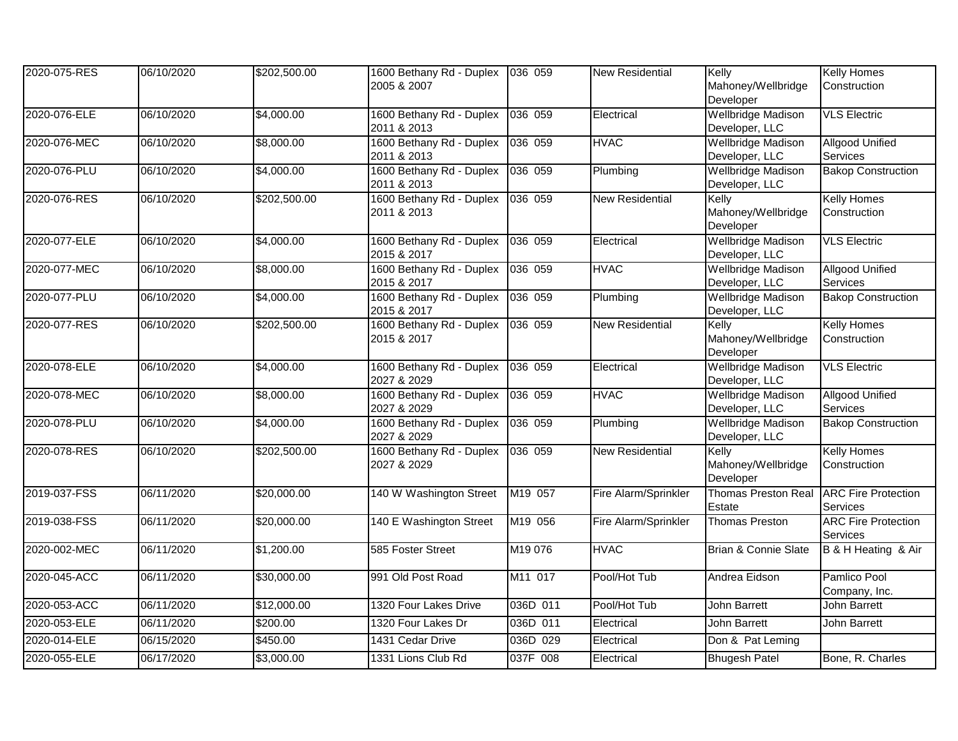| 2020-075-RES | 06/10/2020 | \$202,500.00 | 1600 Bethany Rd - Duplex 036 059<br>2005 & 2007 |          | <b>New Residential</b> | Kelly<br>Mahoney/Wellbridge<br>Developer    | <b>Kelly Homes</b><br>Construction        |
|--------------|------------|--------------|-------------------------------------------------|----------|------------------------|---------------------------------------------|-------------------------------------------|
| 2020-076-ELE | 06/10/2020 | \$4,000.00   | 1600 Bethany Rd - Duplex<br>2011 & 2013         | 036 059  | Electrical             | <b>Wellbridge Madison</b><br>Developer, LLC | <b>VLS Electric</b>                       |
| 2020-076-MEC | 06/10/2020 | \$8,000.00   | 1600 Bethany Rd - Duplex<br>2011 & 2013         | 036 059  | <b>HVAC</b>            | <b>Wellbridge Madison</b><br>Developer, LLC | <b>Allgood Unified</b><br><b>Services</b> |
| 2020-076-PLU | 06/10/2020 | \$4,000.00   | 1600 Bethany Rd - Duplex<br>2011 & 2013         | 036 059  | Plumbing               | Wellbridge Madison<br>Developer, LLC        | <b>Bakop Construction</b>                 |
| 2020-076-RES | 06/10/2020 | \$202,500.00 | 1600 Bethany Rd - Duplex<br>2011 & 2013         | 036 059  | <b>New Residential</b> | Kelly<br>Mahoney/Wellbridge<br>Developer    | <b>Kelly Homes</b><br>Construction        |
| 2020-077-ELE | 06/10/2020 | \$4,000.00   | 1600 Bethany Rd - Duplex<br>2015 & 2017         | 036 059  | Electrical             | Wellbridge Madison<br>Developer, LLC        | <b>VLS Electric</b>                       |
| 2020-077-MEC | 06/10/2020 | \$8,000.00   | 1600 Bethany Rd - Duplex<br>2015 & 2017         | 036 059  | <b>HVAC</b>            | <b>Wellbridge Madison</b><br>Developer, LLC | <b>Allgood Unified</b><br>Services        |
| 2020-077-PLU | 06/10/2020 | \$4,000.00   | 1600 Bethany Rd - Duplex<br>2015 & 2017         | 036 059  | Plumbing               | <b>Wellbridge Madison</b><br>Developer, LLC | <b>Bakop Construction</b>                 |
| 2020-077-RES | 06/10/2020 | \$202,500.00 | 1600 Bethany Rd - Duplex<br>2015 & 2017         | 036 059  | <b>New Residential</b> | Kelly<br>Mahoney/Wellbridge<br>Developer    | <b>Kelly Homes</b><br>Construction        |
| 2020-078-ELE | 06/10/2020 | \$4,000.00   | 1600 Bethany Rd - Duplex<br>2027 & 2029         | 036 059  | Electrical             | <b>Wellbridge Madison</b><br>Developer, LLC | <b>VLS Electric</b>                       |
| 2020-078-MEC | 06/10/2020 | \$8,000.00   | 1600 Bethany Rd - Duplex<br>2027 & 2029         | 036 059  | <b>HVAC</b>            | Wellbridge Madison<br>Developer, LLC        | <b>Allgood Unified</b><br>Services        |
| 2020-078-PLU | 06/10/2020 | \$4,000.00   | 1600 Bethany Rd - Duplex<br>2027 & 2029         | 036 059  | Plumbing               | <b>Wellbridge Madison</b><br>Developer, LLC | <b>Bakop Construction</b>                 |
| 2020-078-RES | 06/10/2020 | \$202,500.00 | 1600 Bethany Rd - Duplex<br>2027 & 2029         | 036 059  | <b>New Residential</b> | Kelly<br>Mahoney/Wellbridge<br>Developer    | <b>Kelly Homes</b><br>Construction        |
| 2019-037-FSS | 06/11/2020 | \$20,000.00  | 140 W Washington Street                         | M19 057  | Fire Alarm/Sprinkler   | <b>Thomas Preston Real</b><br>Estate        | <b>ARC Fire Protection</b><br>Services    |
| 2019-038-FSS | 06/11/2020 | \$20,000.00  | 140 E Washington Street                         | M19 056  | Fire Alarm/Sprinkler   | Thomas Preston                              | <b>ARC Fire Protection</b><br>Services    |
| 2020-002-MEC | 06/11/2020 | \$1,200.00   | 585 Foster Street                               | M19 076  | <b>HVAC</b>            | <b>Brian &amp; Connie Slate</b>             | B & H Heating & Air                       |
| 2020-045-ACC | 06/11/2020 | \$30,000.00  | 991 Old Post Road                               | M11 017  | Pool/Hot Tub           | Andrea Eidson                               | Pamlico Pool<br>Company, Inc.             |
| 2020-053-ACC | 06/11/2020 | \$12,000.00  | 1320 Four Lakes Drive                           | 036D 011 | Pool/Hot Tub           | <b>John Barrett</b>                         | John Barrett                              |
| 2020-053-ELE | 06/11/2020 | \$200.00     | 1320 Four Lakes Dr                              | 036D 011 | Electrical             | John Barrett                                | John Barrett                              |
| 2020-014-ELE | 06/15/2020 | \$450.00     | 1431 Cedar Drive                                | 036D 029 | Electrical             | Don & Pat Leming                            |                                           |
| 2020-055-ELE | 06/17/2020 | \$3,000.00   | 1331 Lions Club Rd                              | 037F 008 | Electrical             | <b>Bhugesh Patel</b>                        | Bone, R. Charles                          |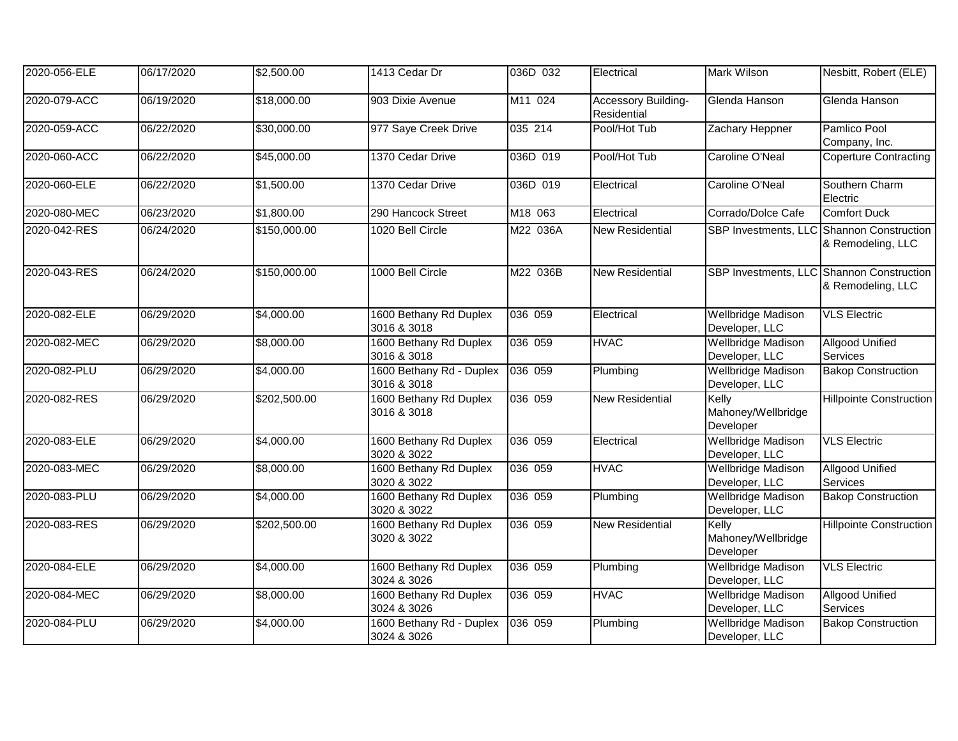| 2020-056-ELE | 06/17/2020 | \$2,500.00        | 1413 Cedar Dr                           | 036D 032 | Electrical                         | Mark Wilson                                 | Nesbitt, Robert (ELE)                                          |
|--------------|------------|-------------------|-----------------------------------------|----------|------------------------------------|---------------------------------------------|----------------------------------------------------------------|
| 2020-079-ACC | 06/19/2020 | \$18,000.00       | 903 Dixie Avenue                        | M11 024  | Accessory Building-<br>Residential | Glenda Hanson                               | Glenda Hanson                                                  |
| 2020-059-ACC | 06/22/2020 | \$30,000.00       | 977 Saye Creek Drive                    | 035 214  | Pool/Hot Tub                       | Zachary Heppner                             | Pamlico Pool<br>Company, Inc.                                  |
| 2020-060-ACC | 06/22/2020 | \$45,000.00       | 1370 Cedar Drive                        | 036D 019 | Pool/Hot Tub                       | <b>Caroline O'Neal</b>                      | <b>Coperture Contracting</b>                                   |
| 2020-060-ELE | 06/22/2020 | \$1,500.00        | 1370 Cedar Drive                        | 036D 019 | Electrical                         | Caroline O'Neal                             | Southern Charm<br>Electric                                     |
| 2020-080-MEC | 06/23/2020 | \$1,800.00        | 290 Hancock Street                      | M18 063  | Electrical                         | Corrado/Dolce Cafe                          | <b>Comfort Duck</b>                                            |
| 2020-042-RES | 06/24/2020 | \$150,000.00      | 1020 Bell Circle                        | M22 036A | <b>New Residential</b>             |                                             | SBP Investments, LLC Shannon Construction<br>& Remodeling, LLC |
| 2020-043-RES | 06/24/2020 | \$150,000.00      | 1000 Bell Circle                        | M22 036B | <b>New Residential</b>             |                                             | SBP Investments, LLC Shannon Construction<br>& Remodeling, LLC |
| 2020-082-ELE | 06/29/2020 | \$4,000.00        | 1600 Bethany Rd Duplex<br>3016 & 3018   | 036 059  | Electrical                         | <b>Wellbridge Madison</b><br>Developer, LLC | <b>VLS Electric</b>                                            |
| 2020-082-MEC | 06/29/2020 | \$8,000.00        | 1600 Bethany Rd Duplex<br>3016 & 3018   | 036 059  | <b>HVAC</b>                        | <b>Wellbridge Madison</b><br>Developer, LLC | <b>Allgood Unified</b><br>Services                             |
| 2020-082-PLU | 06/29/2020 | \$4,000.00        | 1600 Bethany Rd - Duplex<br>3016 & 3018 | 036 059  | Plumbing                           | <b>Wellbridge Madison</b><br>Developer, LLC | <b>Bakop Construction</b>                                      |
| 2020-082-RES | 06/29/2020 | \$202,500.00      | 1600 Bethany Rd Duplex<br>3016 & 3018   | 036 059  | <b>New Residential</b>             | Kelly<br>Mahoney/Wellbridge<br>Developer    | <b>Hillpointe Construction</b>                                 |
| 2020-083-ELE | 06/29/2020 | \$4,000.00        | 1600 Bethany Rd Duplex<br>3020 & 3022   | 036 059  | Electrical                         | <b>Wellbridge Madison</b><br>Developer, LLC | <b>VLS Electric</b>                                            |
| 2020-083-MEC | 06/29/2020 | \$8,000.00        | 1600 Bethany Rd Duplex<br>3020 & 3022   | 036 059  | <b>HVAC</b>                        | <b>Wellbridge Madison</b><br>Developer, LLC | <b>Allgood Unified</b><br>Services                             |
| 2020-083-PLU | 06/29/2020 | \$4,000.00        | 1600 Bethany Rd Duplex<br>3020 & 3022   | 036 059  | Plumbing                           | <b>Wellbridge Madison</b><br>Developer, LLC | <b>Bakop Construction</b>                                      |
| 2020-083-RES | 06/29/2020 | \$202,500.00      | 1600 Bethany Rd Duplex<br>3020 & 3022   | 036 059  | <b>New Residential</b>             | Kelly<br>Mahoney/Wellbridge<br>Developer    | <b>Hillpointe Construction</b>                                 |
| 2020-084-ELE | 06/29/2020 | \$4,000.00        | 1600 Bethany Rd Duplex<br>3024 & 3026   | 036 059  | Plumbing                           | <b>Wellbridge Madison</b><br>Developer, LLC | <b>VLS Electric</b>                                            |
| 2020-084-MEC | 06/29/2020 | \$8,000.00        | 1600 Bethany Rd Duplex<br>3024 & 3026   | 036 059  | <b>HVAC</b>                        | Wellbridge Madison<br>Developer, LLC        | <b>Allgood Unified</b><br>Services                             |
| 2020-084-PLU | 06/29/2020 | $\sqrt{4,000.00}$ | 1600 Bethany Rd - Duplex<br>3024 & 3026 | 036 059  | Plumbing                           | <b>Wellbridge Madison</b><br>Developer, LLC | <b>Bakop Construction</b>                                      |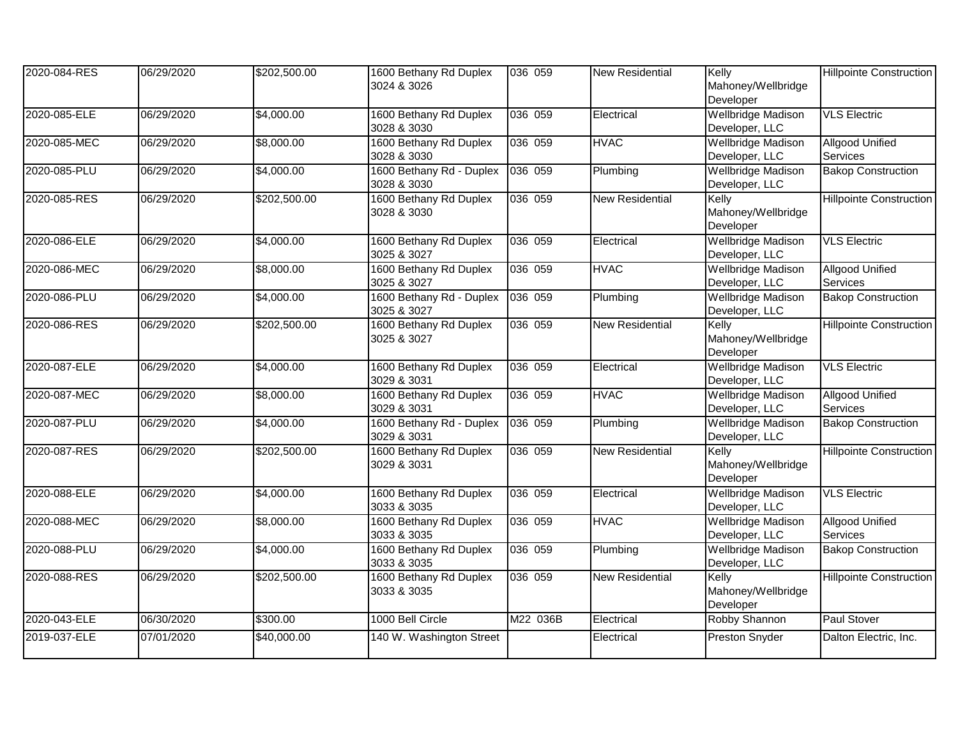| 2020-084-RES | 06/29/2020 | \$202,500.00 | 1600 Bethany Rd Duplex<br>3024 & 3026   | 036 059  | <b>New Residential</b> | Kelly<br>Mahoney/Wellbridge<br>Developer    | <b>Hillpointe Construction</b>            |
|--------------|------------|--------------|-----------------------------------------|----------|------------------------|---------------------------------------------|-------------------------------------------|
| 2020-085-ELE | 06/29/2020 | \$4,000.00   | 1600 Bethany Rd Duplex<br>3028 & 3030   | 036 059  | Electrical             | <b>Wellbridge Madison</b><br>Developer, LLC | <b>VLS Electric</b>                       |
| 2020-085-MEC | 06/29/2020 | \$8,000.00   | 1600 Bethany Rd Duplex<br>3028 & 3030   | 036 059  | <b>HVAC</b>            | <b>Wellbridge Madison</b><br>Developer, LLC | <b>Allgood Unified</b><br><b>Services</b> |
| 2020-085-PLU | 06/29/2020 | \$4,000.00   | 1600 Bethany Rd - Duplex<br>3028 & 3030 | 036 059  | Plumbing               | <b>Wellbridge Madison</b><br>Developer, LLC | <b>Bakop Construction</b>                 |
| 2020-085-RES | 06/29/2020 | \$202,500.00 | 1600 Bethany Rd Duplex<br>3028 & 3030   | 036 059  | <b>New Residential</b> | Kelly<br>Mahoney/Wellbridge<br>Developer    | <b>Hillpointe Construction</b>            |
| 2020-086-ELE | 06/29/2020 | \$4,000.00   | 1600 Bethany Rd Duplex<br>3025 & 3027   | 036 059  | Electrical             | <b>Wellbridge Madison</b><br>Developer, LLC | <b>VLS Electric</b>                       |
| 2020-086-MEC | 06/29/2020 | \$8,000.00   | 1600 Bethany Rd Duplex<br>3025 & 3027   | 036 059  | <b>HVAC</b>            | <b>Wellbridge Madison</b><br>Developer, LLC | <b>Allgood Unified</b><br>Services        |
| 2020-086-PLU | 06/29/2020 | \$4,000.00   | 1600 Bethany Rd - Duplex<br>3025 & 3027 | 036 059  | Plumbing               | <b>Wellbridge Madison</b><br>Developer, LLC | <b>Bakop Construction</b>                 |
| 2020-086-RES | 06/29/2020 | \$202,500.00 | 1600 Bethany Rd Duplex<br>3025 & 3027   | 036 059  | <b>New Residential</b> | Kelly<br>Mahoney/Wellbridge<br>Developer    | <b>Hillpointe Construction</b>            |
| 2020-087-ELE | 06/29/2020 | \$4,000.00   | 1600 Bethany Rd Duplex<br>3029 & 3031   | 036 059  | Electrical             | <b>Wellbridge Madison</b><br>Developer, LLC | <b>VLS Electric</b>                       |
| 2020-087-MEC | 06/29/2020 | \$8,000.00   | 1600 Bethany Rd Duplex<br>3029 & 3031   | 036 059  | <b>HVAC</b>            | <b>Wellbridge Madison</b><br>Developer, LLC | <b>Allgood Unified</b><br>Services        |
| 2020-087-PLU | 06/29/2020 | \$4,000.00   | 1600 Bethany Rd - Duplex<br>3029 & 3031 | 036 059  | Plumbing               | <b>Wellbridge Madison</b><br>Developer, LLC | <b>Bakop Construction</b>                 |
| 2020-087-RES | 06/29/2020 | \$202,500.00 | 1600 Bethany Rd Duplex<br>3029 & 3031   | 036 059  | <b>New Residential</b> | Kelly<br>Mahoney/Wellbridge<br>Developer    | <b>Hillpointe Construction</b>            |
| 2020-088-ELE | 06/29/2020 | \$4,000.00   | 1600 Bethany Rd Duplex<br>3033 & 3035   | 036 059  | Electrical             | <b>Wellbridge Madison</b><br>Developer, LLC | <b>VLS Electric</b>                       |
| 2020-088-MEC | 06/29/2020 | \$8,000.00   | 1600 Bethany Rd Duplex<br>3033 & 3035   | 036 059  | <b>HVAC</b>            | <b>Wellbridge Madison</b><br>Developer, LLC | <b>Allgood Unified</b><br>Services        |
| 2020-088-PLU | 06/29/2020 | \$4,000.00   | 1600 Bethany Rd Duplex<br>3033 & 3035   | 036 059  | Plumbing               | <b>Wellbridge Madison</b><br>Developer, LLC | <b>Bakop Construction</b>                 |
| 2020-088-RES | 06/29/2020 | \$202,500.00 | 1600 Bethany Rd Duplex<br>3033 & 3035   | 036 059  | <b>New Residential</b> | Kelly<br>Mahoney/Wellbridge<br>Developer    | <b>Hillpointe Construction</b>            |
| 2020-043-ELE | 06/30/2020 | \$300.00     | 1000 Bell Circle                        | M22 036B | Electrical             | Robby Shannon                               | <b>Paul Stover</b>                        |
| 2019-037-ELE | 07/01/2020 | \$40,000.00  | 140 W. Washington Street                |          | Electrical             | <b>Preston Snyder</b>                       | Dalton Electric, Inc.                     |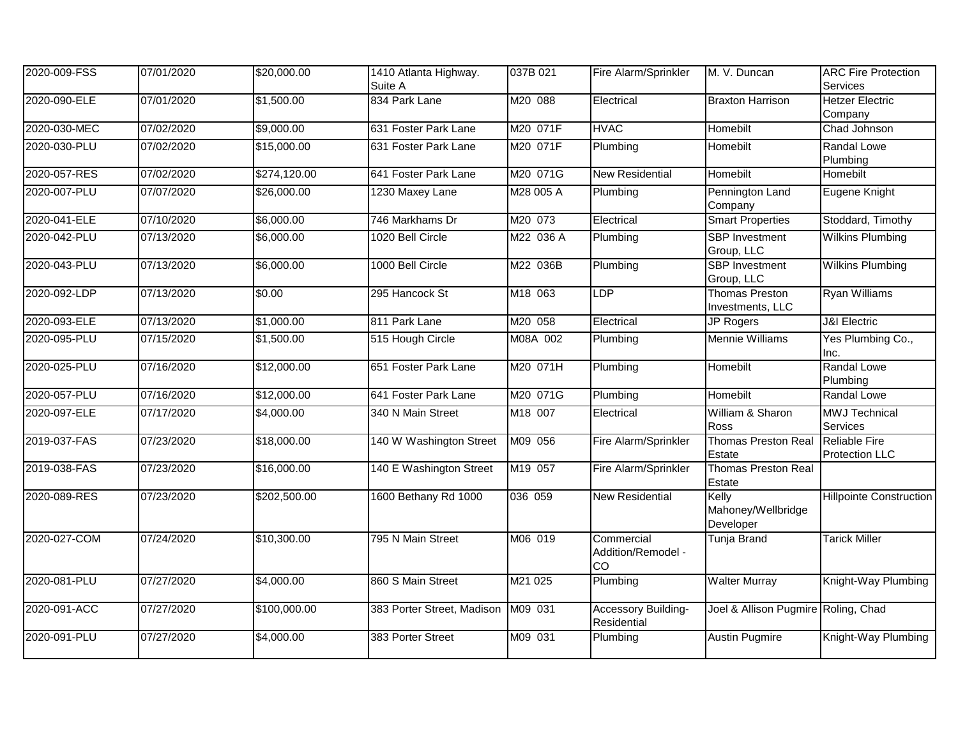| 2020-009-FSS | 07/01/2020 | \$20,000.00  | 1410 Atlanta Highway.<br>Suite A | 037B 021  | Fire Alarm/Sprinkler                   | M. V. Duncan                              | <b>ARC Fire Protection</b><br>Services        |
|--------------|------------|--------------|----------------------------------|-----------|----------------------------------------|-------------------------------------------|-----------------------------------------------|
| 2020-090-ELE | 07/01/2020 | \$1,500.00   | 834 Park Lane                    | M20 088   | Electrical                             | <b>Braxton Harrison</b>                   | <b>Hetzer Electric</b><br>Company             |
| 2020-030-MEC | 07/02/2020 | \$9,000.00   | 631 Foster Park Lane             | M20 071F  | <b>HVAC</b>                            | Homebilt                                  | Chad Johnson                                  |
| 2020-030-PLU | 07/02/2020 | \$15,000.00  | 631 Foster Park Lane             | M20 071F  | Plumbing                               | Homebilt                                  | Randal Lowe<br>Plumbing                       |
| 2020-057-RES | 07/02/2020 | \$274,120.00 | 641 Foster Park Lane             | M20 071G  | <b>New Residential</b>                 | Homebilt                                  | Homebilt                                      |
| 2020-007-PLU | 07/07/2020 | \$26,000.00  | 1230 Maxey Lane                  | M28 005 A | Plumbing                               | Pennington Land<br>Company                | Eugene Knight                                 |
| 2020-041-ELE | 07/10/2020 | \$6,000.00   | 746 Markhams Dr                  | M20 073   | Electrical                             | <b>Smart Properties</b>                   | Stoddard, Timothy                             |
| 2020-042-PLU | 07/13/2020 | \$6,000.00   | 1020 Bell Circle                 | M22 036 A | Plumbing                               | <b>SBP</b> Investment<br>Group, LLC       | <b>Wilkins Plumbing</b>                       |
| 2020-043-PLU | 07/13/2020 | \$6,000.00   | 1000 Bell Circle                 | M22 036B  | Plumbing                               | <b>SBP</b> Investment<br>Group, LLC       | <b>Wilkins Plumbing</b>                       |
| 2020-092-LDP | 07/13/2020 | \$0.00       | 295 Hancock St                   | M18 063   | <b>LDP</b>                             | <b>Thomas Preston</b><br>Investments, LLC | <b>Ryan Williams</b>                          |
| 2020-093-ELE | 07/13/2020 | \$1,000.00   | 811 Park Lane                    | M20 058   | Electrical                             | <b>JP Rogers</b>                          | <b>J&amp;I</b> Electric                       |
| 2020-095-PLU | 07/15/2020 | \$1,500.00   | 515 Hough Circle                 | M08A 002  | Plumbing                               | <b>Mennie Williams</b>                    | Yes Plumbing Co.,<br>Inc.                     |
| 2020-025-PLU | 07/16/2020 | \$12,000.00  | 651 Foster Park Lane             | M20 071H  | Plumbing                               | <b>Homebilt</b>                           | Randal Lowe<br>Plumbing                       |
| 2020-057-PLU | 07/16/2020 | \$12,000.00  | 641 Foster Park Lane             | M20 071G  | Plumbing                               | Homebilt                                  | Randal Lowe                                   |
| 2020-097-ELE | 07/17/2020 | \$4,000.00   | 340 N Main Street                | M18 007   | Electrical                             | William & Sharon<br>Ross                  | <b>MWJ</b> Technical<br>Services              |
| 2019-037-FAS | 07/23/2020 | \$18,000.00  | 140 W Washington Street          | M09 056   | Fire Alarm/Sprinkler                   | <b>Thomas Preston Real</b><br>Estate      | <b>Reliable Fire</b><br><b>Protection LLC</b> |
| 2019-038-FAS | 07/23/2020 | \$16,000.00  | 140 E Washington Street          | M19 057   | Fire Alarm/Sprinkler                   | <b>Thomas Preston Real</b><br>Estate      |                                               |
| 2020-089-RES | 07/23/2020 | \$202,500.00 | 1600 Bethany Rd 1000             | 036 059   | <b>New Residential</b>                 | Kelly<br>Mahoney/Wellbridge<br>Developer  | <b>Hillpointe Construction</b>                |
| 2020-027-COM | 07/24/2020 | \$10,300.00  | 795 N Main Street                | M06 019   | Commercial<br>Addition/Remodel -<br>CO | <b>Tunja Brand</b>                        | <b>Tarick Miller</b>                          |
| 2020-081-PLU | 07/27/2020 | \$4,000.00   | 860 S Main Street                | M21 025   | Plumbing                               | <b>Walter Murray</b>                      | Knight-Way Plumbing                           |
| 2020-091-ACC | 07/27/2020 | \$100,000.00 | 383 Porter Street, Madison       | M09 031   | Accessory Building-<br>Residential     | Joel & Allison Pugmire Roling, Chad       |                                               |
| 2020-091-PLU | 07/27/2020 | \$4,000.00   | 383 Porter Street                | M09 031   | Plumbing                               | <b>Austin Pugmire</b>                     | Knight-Way Plumbing                           |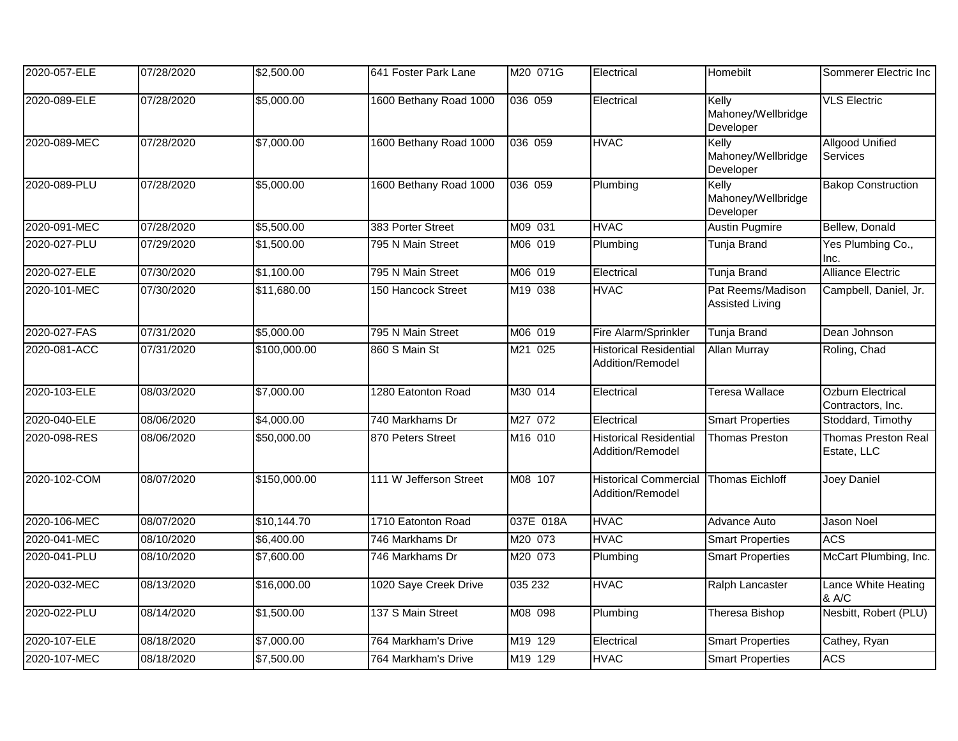| 2020-057-ELE | 07/28/2020 | \$2,500.00   | 641 Foster Park Lane   | M20 071G  | Electrical                                        | Homebilt                                    | Sommerer Electric Inc                  |
|--------------|------------|--------------|------------------------|-----------|---------------------------------------------------|---------------------------------------------|----------------------------------------|
| 2020-089-ELE | 07/28/2020 | \$5,000.00   | 1600 Bethany Road 1000 | 036 059   | Electrical                                        | Kelly<br>Mahoney/Wellbridge<br>Developer    | <b>VLS Electric</b>                    |
| 2020-089-MEC | 07/28/2020 | \$7,000.00   | 1600 Bethany Road 1000 | 036 059   | <b>HVAC</b>                                       | Kelly<br>Mahoney/Wellbridge<br>Developer    | <b>Allgood Unified</b><br>Services     |
| 2020-089-PLU | 07/28/2020 | \$5,000.00   | 1600 Bethany Road 1000 | 036 059   | Plumbing                                          | Kelly<br>Mahoney/Wellbridge<br>Developer    | <b>Bakop Construction</b>              |
| 2020-091-MEC | 07/28/2020 | \$5,500.00   | 383 Porter Street      | M09 031   | <b>HVAC</b>                                       | <b>Austin Pugmire</b>                       | Bellew, Donald                         |
| 2020-027-PLU | 07/29/2020 | \$1,500.00   | 795 N Main Street      | M06 019   | Plumbing                                          | Tunja Brand                                 | Yes Plumbing Co.,<br>Inc.              |
| 2020-027-ELE | 07/30/2020 | \$1,100.00   | 795 N Main Street      | M06 019   | Electrical                                        | Tunja Brand                                 | <b>Alliance Electric</b>               |
| 2020-101-MEC | 07/30/2020 | \$11,680.00  | 150 Hancock Street     | M19 038   | <b>HVAC</b>                                       | Pat Reems/Madison<br><b>Assisted Living</b> | Campbell, Daniel, Jr.                  |
| 2020-027-FAS | 07/31/2020 | \$5,000.00   | 795 N Main Street      | M06 019   | Fire Alarm/Sprinkler                              | Tunja Brand                                 | Dean Johnson                           |
| 2020-081-ACC | 07/31/2020 | \$100,000.00 | 860 S Main St          | M21 025   | <b>Historical Residential</b><br>Addition/Remodel | <b>Allan Murray</b>                         | Roling, Chad                           |
| 2020-103-ELE | 08/03/2020 | \$7,000.00   | 1280 Eatonton Road     | M30 014   | Electrical                                        | <b>Teresa Wallace</b>                       | Ozburn Electrical<br>Contractors, Inc. |
| 2020-040-ELE | 08/06/2020 | \$4,000.00   | 740 Markhams Dr        | M27 072   | Electrical                                        | <b>Smart Properties</b>                     | Stoddard, Timothy                      |
| 2020-098-RES | 08/06/2020 | \$50,000.00  | 870 Peters Street      | M16 010   | <b>Historical Residential</b><br>Addition/Remodel | Thomas Preston                              | Thomas Preston Real<br>Estate, LLC     |
| 2020-102-COM | 08/07/2020 | \$150,000.00 | 111 W Jefferson Street | M08 107   | <b>Historical Commercial</b><br>Addition/Remodel  | <b>Thomas Eichloff</b>                      | Joey Daniel                            |
| 2020-106-MEC | 08/07/2020 | \$10,144.70  | 1710 Eatonton Road     | 037E 018A | <b>HVAC</b>                                       | Advance Auto                                | <b>Jason Noel</b>                      |
| 2020-041-MEC | 08/10/2020 | \$6,400.00   | 746 Markhams Dr        | M20 073   | <b>HVAC</b>                                       | <b>Smart Properties</b>                     | <b>ACS</b>                             |
| 2020-041-PLU | 08/10/2020 | \$7,600.00   | 746 Markhams Dr        | M20 073   | Plumbing                                          | <b>Smart Properties</b>                     | McCart Plumbing, Inc.                  |
| 2020-032-MEC | 08/13/2020 | \$16,000.00  | 1020 Saye Creek Drive  | 035 232   | <b>HVAC</b>                                       | Ralph Lancaster                             | Lance White Heating<br>& A/C           |
| 2020-022-PLU | 08/14/2020 | \$1,500.00   | 137 S Main Street      | M08 098   | Plumbing                                          | Theresa Bishop                              | Nesbitt, Robert (PLU)                  |
| 2020-107-ELE | 08/18/2020 | \$7,000.00   | 764 Markham's Drive    | M19 129   | Electrical                                        | <b>Smart Properties</b>                     | Cathey, Ryan                           |
| 2020-107-MEC | 08/18/2020 | \$7,500.00   | 764 Markham's Drive    | M19 129   | <b>HVAC</b>                                       | <b>Smart Properties</b>                     | <b>ACS</b>                             |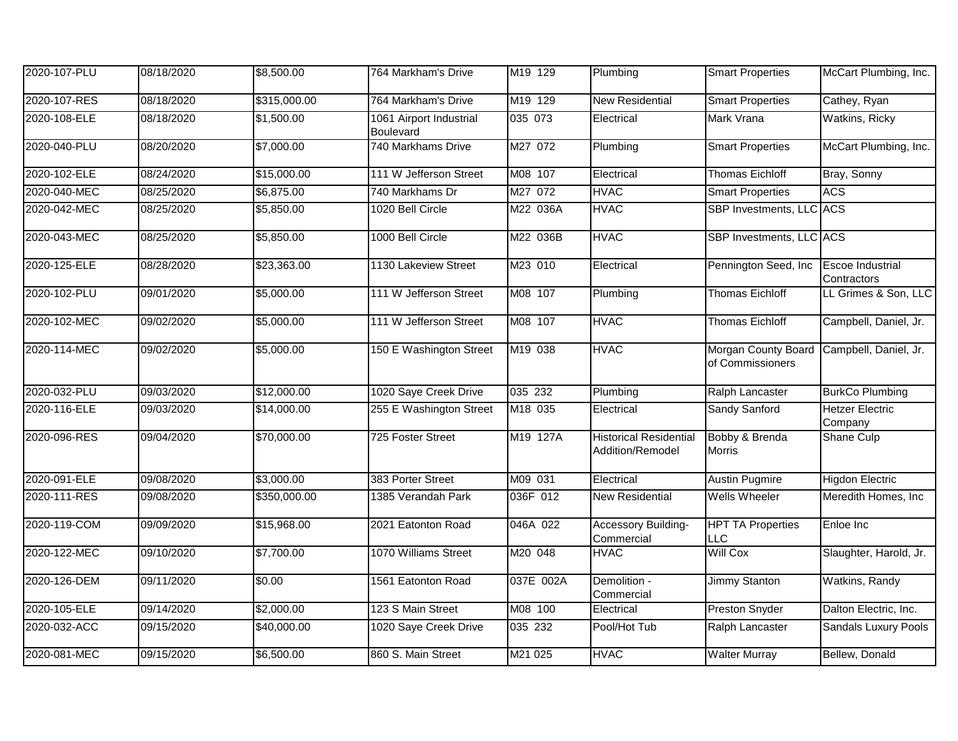| 2020-107-PLU | 08/18/2020 | \$8,500.00   | 764 Markham's Drive                         | M19 129   | Plumbing                                          | <b>Smart Properties</b>                                       | McCart Plumbing, Inc.                  |
|--------------|------------|--------------|---------------------------------------------|-----------|---------------------------------------------------|---------------------------------------------------------------|----------------------------------------|
| 2020-107-RES | 08/18/2020 | \$315,000.00 | 764 Markham's Drive                         | M19 129   | <b>New Residential</b>                            | <b>Smart Properties</b>                                       | Cathey, Ryan                           |
| 2020-108-ELE | 08/18/2020 | \$1,500.00   | 1061 Airport Industrial<br><b>Boulevard</b> | 035 073   | Electrical                                        | Mark Vrana                                                    | Watkins, Ricky                         |
| 2020-040-PLU | 08/20/2020 | \$7,000.00   | 740 Markhams Drive                          | M27 072   | Plumbing                                          | <b>Smart Properties</b>                                       | McCart Plumbing, Inc.                  |
| 2020-102-ELE | 08/24/2020 | \$15,000.00  | 111 W Jefferson Street                      | M08 107   | Electrical                                        | <b>Thomas Eichloff</b>                                        | Bray, Sonny                            |
| 2020-040-MEC | 08/25/2020 | \$6,875.00   | 740 Markhams Dr                             | M27 072   | <b>HVAC</b>                                       | <b>Smart Properties</b>                                       | <b>ACS</b>                             |
| 2020-042-MEC | 08/25/2020 | \$5,850.00   | 1020 Bell Circle                            | M22 036A  | <b>HVAC</b>                                       | SBP Investments, LLC ACS                                      |                                        |
| 2020-043-MEC | 08/25/2020 | \$5,850.00   | 1000 Bell Circle                            | M22 036B  | <b>HVAC</b>                                       | SBP Investments, LLC ACS                                      |                                        |
| 2020-125-ELE | 08/28/2020 | \$23,363.00  | 1130 Lakeview Street                        | M23 010   | Electrical                                        | Pennington Seed, Inc.                                         | <b>Escoe Industrial</b><br>Contractors |
| 2020-102-PLU | 09/01/2020 | \$5,000.00   | 111 W Jefferson Street                      | M08 107   | Plumbing                                          | <b>Thomas Eichloff</b>                                        | LL Grimes & Son, LLC                   |
| 2020-102-MEC | 09/02/2020 | \$5,000.00   | 111 W Jefferson Street                      | M08 107   | <b>HVAC</b>                                       | <b>Thomas Eichloff</b>                                        | Campbell, Daniel, Jr.                  |
| 2020-114-MEC | 09/02/2020 | \$5,000.00   | 150 E Washington Street                     | M19 038   | <b>HVAC</b>                                       | Morgan County Board Campbell, Daniel, Jr.<br>of Commissioners |                                        |
| 2020-032-PLU | 09/03/2020 | \$12,000.00  | 1020 Saye Creek Drive                       | 035 232   | Plumbing                                          | Ralph Lancaster                                               | <b>BurkCo Plumbing</b>                 |
| 2020-116-ELE | 09/03/2020 | \$14,000.00  | 255 E Washington Street                     | M18 035   | Electrical                                        | Sandy Sanford                                                 | <b>Hetzer Electric</b><br>Company      |
| 2020-096-RES | 09/04/2020 | \$70,000.00  | 725 Foster Street                           | M19 127A  | <b>Historical Residential</b><br>Addition/Remodel | Bobby & Brenda<br>Morris                                      | Shane Culp                             |
| 2020-091-ELE | 09/08/2020 | \$3,000.00   | 383 Porter Street                           | M09 031   | Electrical                                        | <b>Austin Pugmire</b>                                         | <b>Higdon Electric</b>                 |
| 2020-111-RES | 09/08/2020 | \$350,000.00 | 1385 Verandah Park                          | 036F 012  | <b>New Residential</b>                            | <b>Wells Wheeler</b>                                          | Meredith Homes, Inc                    |
| 2020-119-COM | 09/09/2020 | \$15,968.00  | 2021 Eatonton Road                          | 046A 022  | Accessory Building-<br>Commercial                 | <b>HPT TA Properties</b><br><b>LLC</b>                        | Enloe Inc                              |
| 2020-122-MEC | 09/10/2020 | \$7,700.00   | 1070 Williams Street                        | M20 048   | <b>HVAC</b>                                       | <b>Will Cox</b>                                               | Slaughter, Harold, Jr.                 |
| 2020-126-DEM | 09/11/2020 | \$0.00       | 1561 Eatonton Road                          | 037E 002A | Demolition -<br>Commercial                        | <b>Jimmy Stanton</b>                                          | Watkins, Randy                         |
| 2020-105-ELE | 09/14/2020 | \$2,000.00   | 123 S Main Street                           | M08 100   | Electrical                                        | <b>Preston Snyder</b>                                         | Dalton Electric, Inc.                  |
| 2020-032-ACC | 09/15/2020 | \$40,000.00  | 1020 Saye Creek Drive                       | 035 232   | Pool/Hot Tub                                      | Ralph Lancaster                                               | Sandals Luxury Pools                   |
| 2020-081-MEC | 09/15/2020 | \$6,500.00   | 860 S. Main Street                          | M21 025   | <b>HVAC</b>                                       | <b>Walter Murray</b>                                          | Bellew, Donald                         |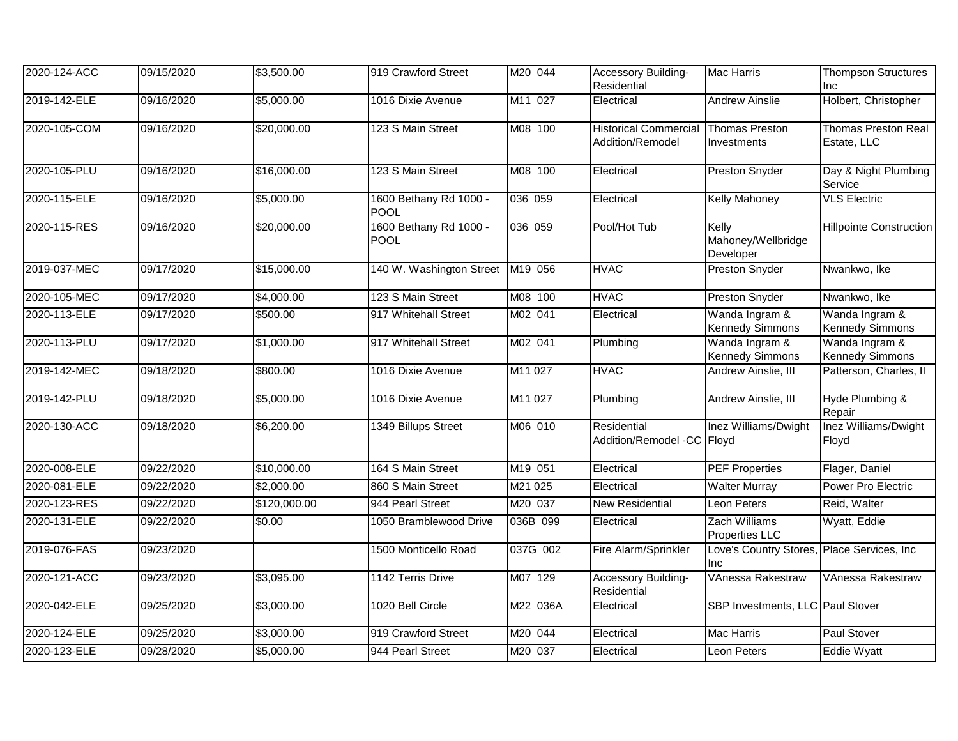| 2020-124-ACC | 09/15/2020 | \$3,500.00   | 919 Crawford Street                   | M20 044             | Accessory Building-<br>Residential               | <b>Mac Harris</b>                                        | <b>Thompson Structures</b><br>Inc         |
|--------------|------------|--------------|---------------------------------------|---------------------|--------------------------------------------------|----------------------------------------------------------|-------------------------------------------|
| 2019-142-ELE | 09/16/2020 | \$5,000.00   | 1016 Dixie Avenue                     | M <sub>11</sub> 027 | Electrical                                       | <b>Andrew Ainslie</b>                                    | Holbert, Christopher                      |
| 2020-105-COM | 09/16/2020 | \$20,000.00  | 123 S Main Street                     | M08 100             | <b>Historical Commercial</b><br>Addition/Remodel | <b>Thomas Preston</b><br>Investments                     | <b>Thomas Preston Real</b><br>Estate, LLC |
| 2020-105-PLU | 09/16/2020 | \$16,000.00  | 123 S Main Street                     | M08 100             | Electrical                                       | Preston Snyder                                           | Day & Night Plumbing<br>Service           |
| 2020-115-ELE | 09/16/2020 | \$5,000.00   | 1600 Bethany Rd 1000 -<br><b>POOL</b> | 036 059             | Electrical                                       | <b>Kelly Mahoney</b>                                     | <b>VLS Electric</b>                       |
| 2020-115-RES | 09/16/2020 | \$20,000.00  | 1600 Bethany Rd 1000 -<br><b>POOL</b> | 036 059             | Pool/Hot Tub                                     | Kelly<br>Mahoney/Wellbridge<br>Developer                 | <b>Hillpointe Construction</b>            |
| 2019-037-MEC | 09/17/2020 | \$15,000.00  | 140 W. Washington Street              | M19 056             | <b>HVAC</b>                                      | <b>Preston Snyder</b>                                    | Nwankwo, Ike                              |
| 2020-105-MEC | 09/17/2020 | \$4,000.00   | 123 S Main Street                     | M08 100             | <b>HVAC</b>                                      | <b>Preston Snyder</b>                                    | Nwankwo, Ike                              |
| 2020-113-ELE | 09/17/2020 | \$500.00     | 917 Whitehall Street                  | M02 041             | Electrical                                       | Wanda Ingram &<br><b>Kennedy Simmons</b>                 | Wanda Ingram &<br><b>Kennedy Simmons</b>  |
| 2020-113-PLU | 09/17/2020 | \$1,000.00   | 917 Whitehall Street                  | M02 041             | Plumbing                                         | Wanda Ingram &<br><b>Kennedy Simmons</b>                 | Wanda Ingram &<br><b>Kennedy Simmons</b>  |
| 2019-142-MEC | 09/18/2020 | \$800.00     | 1016 Dixie Avenue                     | M11 027             | <b>HVAC</b>                                      | Andrew Ainslie, III                                      | Patterson, Charles, II                    |
| 2019-142-PLU | 09/18/2020 | \$5,000.00   | 1016 Dixie Avenue                     | M11 027             | Plumbing                                         | Andrew Ainslie, III                                      | Hyde Plumbing &<br>Repair                 |
| 2020-130-ACC | 09/18/2020 | \$6,200.00   | 1349 Billups Street                   | M06 010             | Residential<br>Addition/Remodel -CC Floyd        | Inez Williams/Dwight                                     | Inez Williams/Dwight<br>Floyd             |
| 2020-008-ELE | 09/22/2020 | \$10,000.00  | 164 S Main Street                     | M19 051             | Electrical                                       | <b>PEF Properties</b>                                    | Flager, Daniel                            |
| 2020-081-ELE | 09/22/2020 | \$2,000.00   | 860 S Main Street                     | M21 025             | Electrical                                       | <b>Walter Murray</b>                                     | Power Pro Electric                        |
| 2020-123-RES | 09/22/2020 | \$120,000.00 | 944 Pearl Street                      | M20 037             | New Residential                                  | Leon Peters                                              | Reid, Walter                              |
| 2020-131-ELE | 09/22/2020 | \$0.00       | 1050 Bramblewood Drive                | 036B 099            | Electrical                                       | Zach Williams<br><b>Properties LLC</b>                   | Wyatt, Eddie                              |
| 2019-076-FAS | 09/23/2020 |              | 1500 Monticello Road                  | 037G 002            | Fire Alarm/Sprinkler                             | Love's Country Stores, Place Services, Inc<br><b>Inc</b> |                                           |
| 2020-121-ACC | 09/23/2020 | \$3,095.00   | 1142 Terris Drive                     | M07 129             | Accessory Building-<br>Residential               | <b>VAnessa Rakestraw</b>                                 | <b>VAnessa Rakestraw</b>                  |
| 2020-042-ELE | 09/25/2020 | \$3,000.00   | 1020 Bell Circle                      | M22 036A            | Electrical                                       | SBP Investments, LLC Paul Stover                         |                                           |
| 2020-124-ELE | 09/25/2020 | \$3,000.00   | 919 Crawford Street                   | M20 044             | Electrical                                       | <b>Mac Harris</b>                                        | Paul Stover                               |
| 2020-123-ELE | 09/28/2020 | \$5,000.00   | 944 Pearl Street                      | M20 037             | Electrical                                       | Leon Peters                                              | Eddie Wyatt                               |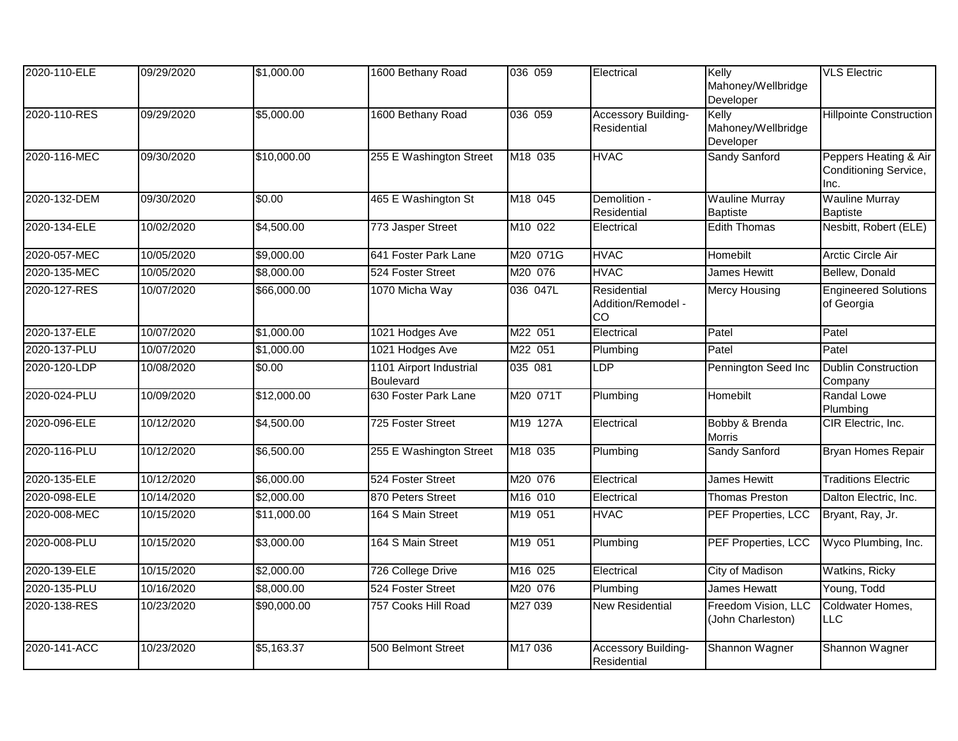| 2020-110-ELE | 09/29/2020 | \$1,000.00  | 1600 Bethany Road                           | 036 059   | Electrical                                     | Kelly<br>Mahoney/Wellbridge              | <b>VLS Electric</b>                                    |
|--------------|------------|-------------|---------------------------------------------|-----------|------------------------------------------------|------------------------------------------|--------------------------------------------------------|
|              |            |             |                                             |           |                                                | Developer                                |                                                        |
| 2020-110-RES | 09/29/2020 | \$5,000.00  | 1600 Bethany Road                           | 036 059   | <b>Accessory Building-</b><br>Residential      | Kelly<br>Mahoney/Wellbridge<br>Developer | <b>Hillpointe Construction</b>                         |
| 2020-116-MEC | 09/30/2020 | \$10,000.00 | 255 E Washington Street                     | M18 035   | <b>HVAC</b>                                    | Sandy Sanford                            | Peppers Heating & Air<br>Conditioning Service,<br>Inc. |
| 2020-132-DEM | 09/30/2020 | \$0.00      | 465 E Washington St                         | M18 045   | Demolition -<br>Residential                    | <b>Wauline Murray</b><br><b>Baptiste</b> | <b>Wauline Murray</b><br><b>Baptiste</b>               |
| 2020-134-ELE | 10/02/2020 | \$4,500.00  | 773 Jasper Street                           | M10 022   | Electrical                                     | <b>Edith Thomas</b>                      | Nesbitt, Robert (ELE)                                  |
| 2020-057-MEC | 10/05/2020 | \$9,000.00  | 641 Foster Park Lane                        | M20 071G  | <b>HVAC</b>                                    | Homebilt                                 | Arctic Circle Air                                      |
| 2020-135-MEC | 10/05/2020 | \$8,000.00  | 524 Foster Street                           | M20 076   | <b>HVAC</b>                                    | James Hewitt                             | Bellew, Donald                                         |
| 2020-127-RES | 10/07/2020 | \$66,000.00 | 1070 Micha Way                              | 036 047L  | Residential<br>Addition/Remodel -<br><b>CO</b> | <b>Mercy Housing</b>                     | <b>Engineered Solutions</b><br>of Georgia              |
| 2020-137-ELE | 10/07/2020 | \$1,000.00  | 1021 Hodges Ave                             | M22 051   | Electrical                                     | Patel                                    | Patel                                                  |
| 2020-137-PLU | 10/07/2020 | \$1,000.00  | 1021 Hodges Ave                             | M22 051   | Plumbing                                       | Patel                                    | Patel                                                  |
| 2020-120-LDP | 10/08/2020 | \$0.00      | 1101 Airport Industrial<br><b>Boulevard</b> | 035 081   | <b>LDP</b>                                     | Pennington Seed Inc                      | <b>Dublin Construction</b><br>Company                  |
| 2020-024-PLU | 10/09/2020 | \$12,000.00 | 630 Foster Park Lane                        | M20 071T  | Plumbing                                       | Homebilt                                 | Randal Lowe<br>Plumbing                                |
| 2020-096-ELE | 10/12/2020 | \$4,500.00  | 725 Foster Street                           | M19 127A  | Electrical                                     | Bobby & Brenda<br><b>Morris</b>          | CIR Electric, Inc.                                     |
| 2020-116-PLU | 10/12/2020 | \$6,500.00  | 255 E Washington Street                     | $M18$ 035 | Plumbing                                       | Sandy Sanford                            | <b>Bryan Homes Repair</b>                              |
| 2020-135-ELE | 10/12/2020 | \$6,000.00  | 524 Foster Street                           | M20 076   | Electrical                                     | <b>James Hewitt</b>                      | <b>Traditions Electric</b>                             |
| 2020-098-ELE | 10/14/2020 | \$2,000.00  | 870 Peters Street                           | M16 010   | Electrical                                     | <b>Thomas Preston</b>                    | Dalton Electric, Inc.                                  |
| 2020-008-MEC | 10/15/2020 | \$11,000.00 | 164 S Main Street                           | M19 051   | <b>HVAC</b>                                    | PEF Properties, LCC                      | Bryant, Ray, Jr.                                       |
| 2020-008-PLU | 10/15/2020 | \$3,000.00  | 164 S Main Street                           | M19 051   | Plumbing                                       | PEF Properties, LCC                      | Wyco Plumbing, Inc.                                    |
| 2020-139-ELE | 10/15/2020 | \$2,000.00  | 726 College Drive                           | M16 025   | Electrical                                     | City of Madison                          | Watkins, Ricky                                         |
| 2020-135-PLU | 10/16/2020 | \$8,000.00  | 524 Foster Street                           | M20 076   | Plumbing                                       | James Hewatt                             | Young, Todd                                            |
| 2020-138-RES | 10/23/2020 | \$90,000.00 | 757 Cooks Hill Road                         | M27 039   | <b>New Residential</b>                         | Freedom Vision, LLC<br>(John Charleston) | Coldwater Homes,<br><b>LLC</b>                         |
| 2020-141-ACC | 10/23/2020 | \$5,163.37  | 500 Belmont Street                          | M17 036   | Accessory Building-<br>Residential             | Shannon Wagner                           | Shannon Wagner                                         |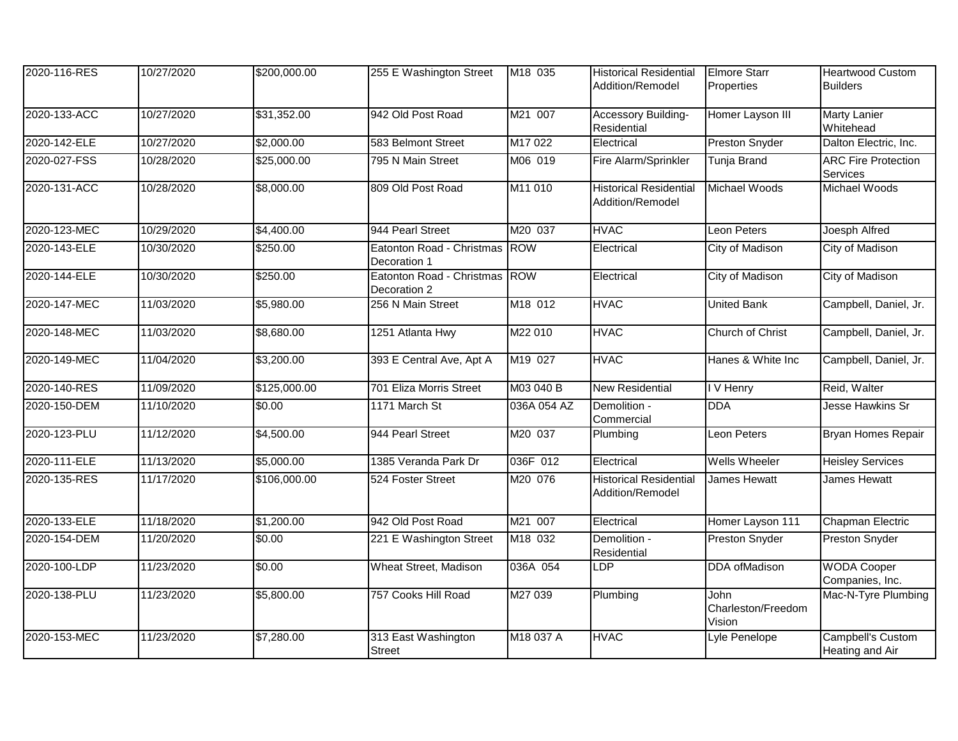| 2020-116-RES | 10/27/2020 | \$200,000.00 | 255 E Washington Street                       | M18 035     | <b>Historical Residential</b><br>Addition/Remodel | <b>Elmore Starr</b><br><b>Properties</b> | <b>Heartwood Custom</b><br><b>Builders</b> |
|--------------|------------|--------------|-----------------------------------------------|-------------|---------------------------------------------------|------------------------------------------|--------------------------------------------|
| 2020-133-ACC | 10/27/2020 | \$31,352.00  | 942 Old Post Road                             | M21 007     | <b>Accessory Building-</b><br>Residential         | Homer Layson III                         | <b>Marty Lanier</b><br>Whitehead           |
| 2020-142-ELE | 10/27/2020 | \$2,000.00   | 583 Belmont Street                            | M17 022     | Electrical                                        | <b>Preston Snyder</b>                    | Dalton Electric, Inc.                      |
| 2020-027-FSS | 10/28/2020 | \$25,000.00  | 795 N Main Street                             | M06 019     | Fire Alarm/Sprinkler                              | <b>Tunja Brand</b>                       | <b>ARC Fire Protection</b><br>Services     |
| 2020-131-ACC | 10/28/2020 | \$8,000.00   | 809 Old Post Road                             | M11 010     | <b>Historical Residential</b><br>Addition/Remodel | Michael Woods                            | Michael Woods                              |
| 2020-123-MEC | 10/29/2020 | \$4,400.00   | 944 Pearl Street                              | M20 037     | <b>HVAC</b>                                       | Leon Peters                              | Joesph Alfred                              |
| 2020-143-ELE | 10/30/2020 | \$250.00     | Eatonton Road - Christmas ROW<br>Decoration 1 |             | Electrical                                        | City of Madison                          | City of Madison                            |
| 2020-144-ELE | 10/30/2020 | \$250.00     | Eatonton Road - Christmas ROW<br>Decoration 2 |             | Electrical                                        | City of Madison                          | City of Madison                            |
| 2020-147-MEC | 11/03/2020 | \$5,980.00   | 256 N Main Street                             | M18 012     | <b>HVAC</b>                                       | <b>United Bank</b>                       | Campbell, Daniel, Jr.                      |
| 2020-148-MEC | 11/03/2020 | \$8,680.00   | 1251 Atlanta Hwy                              | M22 010     | <b>HVAC</b>                                       | Church of Christ                         | Campbell, Daniel, Jr.                      |
| 2020-149-MEC | 11/04/2020 | \$3,200.00   | 393 E Central Ave, Apt A                      | M19 027     | <b>HVAC</b>                                       | Hanes & White Inc                        | Campbell, Daniel, Jr.                      |
| 2020-140-RES | 11/09/2020 | \$125,000.00 | 701 Eliza Morris Street                       | M03 040 B   | <b>New Residential</b>                            | I V Henry                                | Reid, Walter                               |
| 2020-150-DEM | 11/10/2020 | \$0.00       | 1171 March St                                 | 036A 054 AZ | Demolition -<br>Commercial                        | <b>DDA</b>                               | Jesse Hawkins Sr                           |
| 2020-123-PLU | 11/12/2020 | \$4,500.00   | 944 Pearl Street                              | M20 037     | Plumbing                                          | Leon Peters                              | <b>Bryan Homes Repair</b>                  |
| 2020-111-ELE | 11/13/2020 | \$5,000.00   | 1385 Veranda Park Dr                          | 036F 012    | Electrical                                        | <b>Wells Wheeler</b>                     | <b>Heisley Services</b>                    |
| 2020-135-RES | 11/17/2020 | \$106,000.00 | 524 Foster Street                             | M20 076     | <b>Historical Residential</b><br>Addition/Remodel | James Hewatt                             | James Hewatt                               |
| 2020-133-ELE | 11/18/2020 | \$1,200.00   | 942 Old Post Road                             | M21 007     | Electrical                                        | Homer Layson 111                         | Chapman Electric                           |
| 2020-154-DEM | 11/20/2020 | \$0.00       | 221 E Washington Street                       | M18 032     | Demolition -<br>Residential                       | <b>Preston Snyder</b>                    | Preston Snyder                             |
| 2020-100-LDP | 11/23/2020 | \$0.00       | Wheat Street, Madison                         | 036A 054    | LDP                                               | <b>DDA</b> ofMadison                     | <b>WODA Cooper</b><br>Companies, Inc.      |
| 2020-138-PLU | 11/23/2020 | \$5,800.00   | 757 Cooks Hill Road                           | M27 039     | Plumbing                                          | John<br>Charleston/Freedom<br>Vision     | Mac-N-Tyre Plumbing                        |
| 2020-153-MEC | 11/23/2020 | \$7,280.00   | 313 East Washington<br><b>Street</b>          | M18 037 A   | <b>HVAC</b>                                       | Lyle Penelope                            | Campbell's Custom<br>Heating and Air       |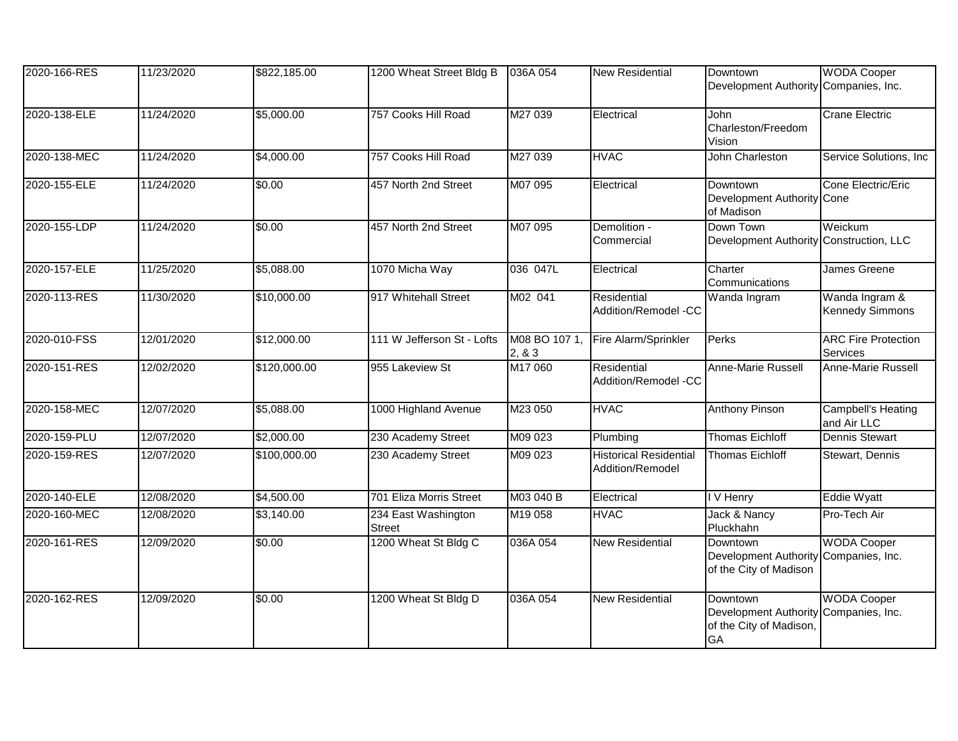| 2020-166-RES | 11/23/2020 | \$822,185.00 | 1200 Wheat Street Bldg B             | 036A 054                 | <b>New Residential</b>                            | <b>Downtown</b><br>Development Authority Companies, Inc.                         | <b>WODA Cooper</b>                       |
|--------------|------------|--------------|--------------------------------------|--------------------------|---------------------------------------------------|----------------------------------------------------------------------------------|------------------------------------------|
| 2020-138-ELE | 11/24/2020 | \$5,000.00   | 757 Cooks Hill Road                  | M27 039                  | Electrical                                        | John<br>Charleston/Freedom<br>Vision                                             | <b>Crane Electric</b>                    |
| 2020-138-MEC | 11/24/2020 | \$4,000.00   | 757 Cooks Hill Road                  | M27 039                  | <b>HVAC</b>                                       | John Charleston                                                                  | Service Solutions, Inc                   |
| 2020-155-ELE | 11/24/2020 | \$0.00       | 457 North 2nd Street                 | M07 095                  | Electrical                                        | Downtown<br>Development Authority Cone<br>of Madison                             | Cone Electric/Eric                       |
| 2020-155-LDP | 11/24/2020 | \$0.00       | 457 North 2nd Street                 | M07 095                  | Demolition -<br>Commercial                        | Down Town<br>Development Authority Construction, LLC                             | Weickum                                  |
| 2020-157-ELE | 11/25/2020 | \$5,088.00   | 1070 Micha Way                       | 036 047L                 | Electrical                                        | Charter<br>Communications                                                        | James Greene                             |
| 2020-113-RES | 11/30/2020 | \$10,000.00  | 917 Whitehall Street                 | M02 041                  | Residential<br>Addition/Remodel -CC               | Wanda Ingram                                                                     | Wanda Ingram &<br><b>Kennedy Simmons</b> |
| 2020-010-FSS | 12/01/2020 | \$12,000.00  | 111 W Jefferson St - Lofts           | M08 BO 107 1,<br>2, 8, 3 | Fire Alarm/Sprinkler                              | Perks                                                                            | <b>ARC Fire Protection</b><br>Services   |
| 2020-151-RES | 12/02/2020 | \$120,000.00 | 955 Lakeview St                      | M17 060                  | Residential<br>Addition/Remodel -CC               | Anne-Marie Russell                                                               | Anne-Marie Russell                       |
| 2020-158-MEC | 12/07/2020 | \$5,088.00   | 1000 Highland Avenue                 | M23 050                  | <b>HVAC</b>                                       | <b>Anthony Pinson</b>                                                            | Campbell's Heating<br>and Air LLC        |
| 2020-159-PLU | 12/07/2020 | \$2,000.00   | 230 Academy Street                   | M09 023                  | Plumbing                                          | <b>Thomas Eichloff</b>                                                           | <b>Dennis Stewart</b>                    |
| 2020-159-RES | 12/07/2020 | \$100,000.00 | 230 Academy Street                   | M09 023                  | <b>Historical Residential</b><br>Addition/Remodel | <b>Thomas Eichloff</b>                                                           | Stewart, Dennis                          |
| 2020-140-ELE | 12/08/2020 | \$4,500.00   | 701 Eliza Morris Street              | M03 040 B                | Electrical                                        | I V Henry                                                                        | <b>Eddie Wyatt</b>                       |
| 2020-160-MEC | 12/08/2020 | \$3,140.00   | 234 East Washington<br><b>Street</b> | M19 058                  | <b>HVAC</b>                                       | Jack & Nancy<br>Pluckhahn                                                        | Pro-Tech Air                             |
| 2020-161-RES | 12/09/2020 | \$0.00       | 1200 Wheat St Bldg C                 | 036A 054                 | <b>New Residential</b>                            | Downtown<br><b>Development Authority</b><br>of the City of Madison               | <b>WODA Cooper</b><br>Companies, Inc.    |
| 2020-162-RES | 12/09/2020 | \$0.00       | 1200 Wheat St Bldg D                 | 036A 054                 | <b>New Residential</b>                            | <b>Downtown</b><br><b>Development Authority</b><br>of the City of Madison,<br>GA | <b>WODA Cooper</b><br>Companies, Inc.    |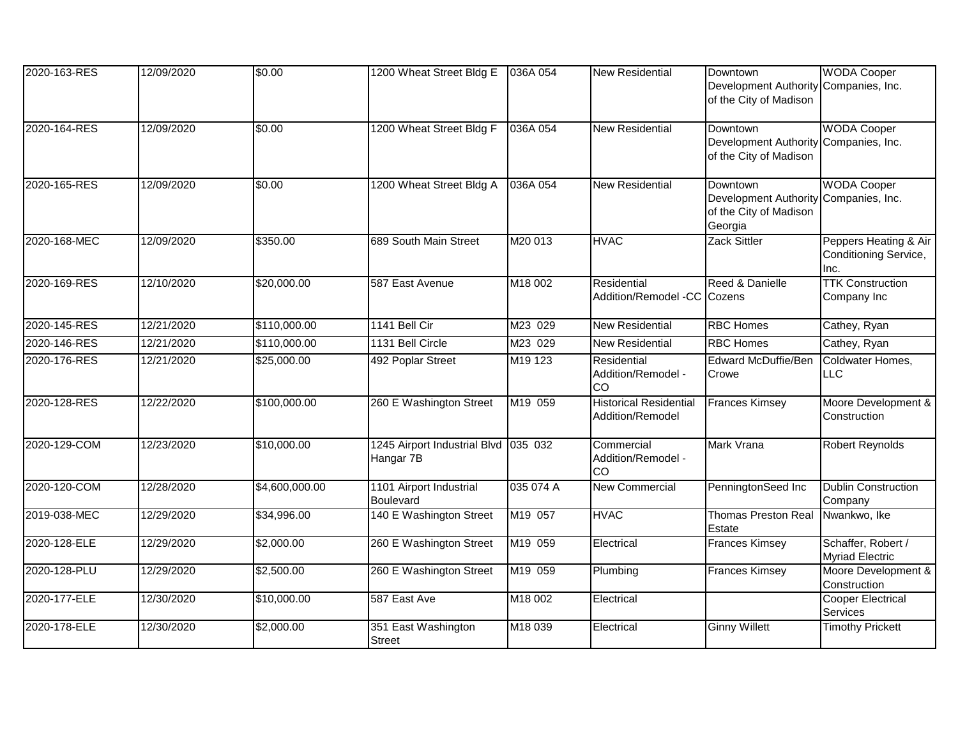| 2020-163-RES | 12/09/2020 | \$0.00         | 1200 Wheat Street Bldg E                          | 036A 054  | <b>New Residential</b>                            | <b>Downtown</b><br>Development Authority Companies, Inc.<br>of the City of Madison | <b>WODA Cooper</b>                                     |
|--------------|------------|----------------|---------------------------------------------------|-----------|---------------------------------------------------|------------------------------------------------------------------------------------|--------------------------------------------------------|
| 2020-164-RES | 12/09/2020 | \$0.00         | 1200 Wheat Street Bldg F                          | 036A 054  | <b>New Residential</b>                            | Downtown<br>Development Authority<br>of the City of Madison                        | <b>WODA Cooper</b><br>Companies, Inc.                  |
| 2020-165-RES | 12/09/2020 | \$0.00         | 1200 Wheat Street Bldg A                          | 036A 054  | <b>New Residential</b>                            | Downtown<br><b>Development Authority</b><br>of the City of Madison<br>Georgia      | <b>WODA Cooper</b><br>Companies, Inc.                  |
| 2020-168-MEC | 12/09/2020 | \$350.00       | 689 South Main Street                             | M20 013   | <b>HVAC</b>                                       | Zack Sittler                                                                       | Peppers Heating & Air<br>Conditioning Service,<br>Inc. |
| 2020-169-RES | 12/10/2020 | \$20,000.00    | 587 East Avenue                                   | M18 002   | Residential<br>Addition/Remodel -CC Cozens        | Reed & Danielle                                                                    | <b>TTK Construction</b><br>Company Inc                 |
| 2020-145-RES | 12/21/2020 | \$110,000.00   | 1141 Bell Cir                                     | M23 029   | New Residential                                   | <b>RBC Homes</b>                                                                   | Cathey, Ryan                                           |
| 2020-146-RES | 12/21/2020 | \$110,000.00   | 1131 Bell Circle                                  | M23 029   | <b>New Residential</b>                            | <b>RBC Homes</b>                                                                   | Cathey, Ryan                                           |
| 2020-176-RES | 12/21/2020 | \$25,000.00    | 492 Poplar Street                                 | M19 123   | Residential<br>Addition/Remodel -<br>CO.          | <b>Edward McDuffie/Ben</b><br>Crowe                                                | Coldwater Homes,<br><b>LLC</b>                         |
| 2020-128-RES | 12/22/2020 | \$100,000.00   | 260 E Washington Street                           | M19 059   | <b>Historical Residential</b><br>Addition/Remodel | <b>Frances Kimsey</b>                                                              | Moore Development &<br>Construction                    |
| 2020-129-COM | 12/23/2020 | \$10,000.00    | 1245 Airport Industrial Blvd 035 032<br>Hangar 7B |           | Commercial<br>Addition/Remodel -<br>CO            | Mark Vrana                                                                         | <b>Robert Reynolds</b>                                 |
| 2020-120-COM | 12/28/2020 | \$4,600,000.00 | 1101 Airport Industrial<br>Boulevard              | 035 074 A | <b>New Commercial</b>                             | PenningtonSeed Inc                                                                 | <b>Dublin Construction</b><br>Company                  |
| 2019-038-MEC | 12/29/2020 | \$34,996.00    | 140 E Washington Street                           | M19 057   | <b>HVAC</b>                                       | <b>Thomas Preston Real</b><br>Estate                                               | Nwankwo, Ike                                           |
| 2020-128-ELE | 12/29/2020 | \$2,000.00     | 260 E Washington Street                           | M19 059   | Electrical                                        | <b>Frances Kimsey</b>                                                              | Schaffer, Robert /<br><b>Myriad Electric</b>           |
| 2020-128-PLU | 12/29/2020 | \$2,500.00     | 260 E Washington Street                           | M19 059   | Plumbing                                          | <b>Frances Kimsey</b>                                                              | Moore Development &<br>Construction                    |
| 2020-177-ELE | 12/30/2020 | \$10,000.00    | 587 East Ave                                      | M18 002   | Electrical                                        |                                                                                    | <b>Cooper Electrical</b><br>Services                   |
| 2020-178-ELE | 12/30/2020 | \$2,000.00     | 351 East Washington<br><b>Street</b>              | M18 039   | Electrical                                        | <b>Ginny Willett</b>                                                               | <b>Timothy Prickett</b>                                |